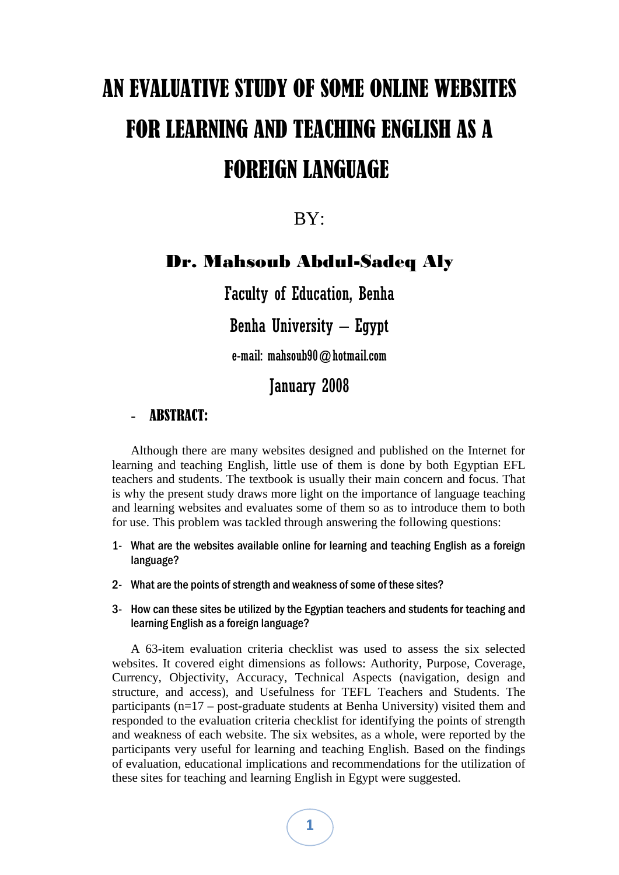# AN EVALUATIVE STUDY OF SOME ONLINE WEBSITES FOR LEARNING AND TEACHING ENGLISH AS A FOREIGN LANGUAGE

BY:

## Dr. Mahsoub Abdul-Sadeq Aly

Faculty of Education, Benha

Benha University – Egypt

e-mail: mahsoub90@hotmail.com

January 2008

### **ABSTRACT:**

Although there are many websites designed and published on the Internet for learning and teaching English, little use of them is done by both Egyptian EFL teachers and students. The textbook is usually their main concern and focus. That is why the present study draws more light on the importance of language teaching and learning websites and evaluates some of them so as to introduce them to both for use. This problem was tackled through answering the following questions:

- 1- What are the websites available online for learning and teaching English as a foreign language?
- 2- What are the points of strength and weakness of some of these sites?
- 3- How can these sites be utilized by the Egyptian teachers and students for teaching and learning English as a foreign language?

A 63-item evaluation criteria checklist was used to assess the six selected websites. It covered eight dimensions as follows: Authority, Purpose, Coverage, Currency, Objectivity, Accuracy, Technical Aspects (navigation, design and structure, and access), and Usefulness for TEFL Teachers and Students. The participants (n=17 – post-graduate students at Benha University) visited them and responded to the evaluation criteria checklist for identifying the points of strength and weakness of each website. The six websites, as a whole, were reported by the participants very useful for learning and teaching English. Based on the findings of evaluation, educational implications and recommendations for the utilization of these sites for teaching and learning English in Egypt were suggested.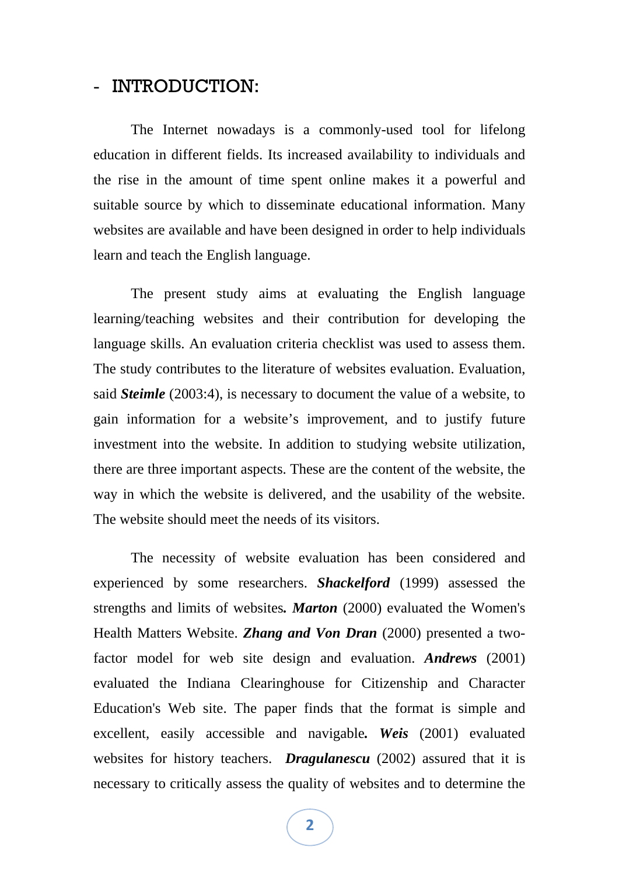### - INTRODUCTION:

The Internet nowadays is a commonly-used tool for lifelong education in different fields. Its increased availability to individuals and the rise in the amount of time spent online makes it a powerful and suitable source by which to disseminate educational information. Many websites are available and have been designed in order to help individuals learn and teach the English language.

The present study aims at evaluating the English language learning/teaching websites and their contribution for developing the language skills. An evaluation criteria checklist was used to assess them. The study contributes to the literature of websites evaluation. Evaluation, said *Steimle* (2003:4), is necessary to document the value of a website, to gain information for a website's improvement, and to justify future investment into the website. In addition to studying website utilization, there are three important aspects. These are the content of the website, the way in which the website is delivered, and the usability of the website. The website should meet the needs of its visitors.

The necessity of website evaluation has been considered and experienced by some researchers. *Shackelford* (1999) assessed the strengths and limits of websites*. Marton* (2000) evaluated the Women's Health Matters Website. *Zhang and Von Dran* (2000) presented a twofactor model for web site design and evaluation. *Andrews* (2001) evaluated the Indiana Clearinghouse for Citizenship and Character Education's Web site. The paper finds that the format is simple and excellent, easily accessible and navigable*. Weis* (2001) evaluated websites for history teachers. *Dragulanescu* (2002) assured that it is necessary to critically assess the quality of websites and to determine the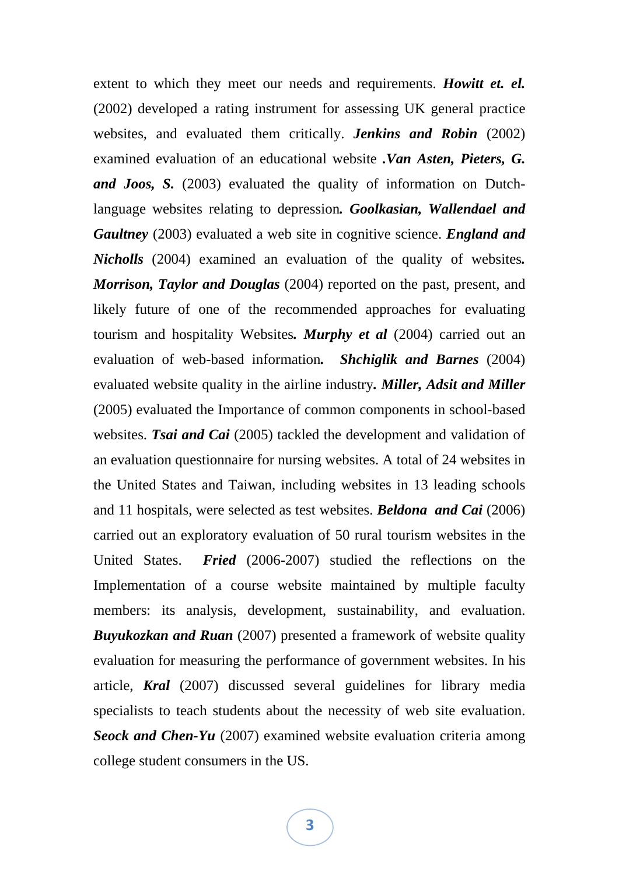extent to which they meet our needs and requirements. *Howitt et. el.*  (2002) developed a rating instrument for assessing UK general practice websites, and evaluated them critically. *Jenkins and Robin* (2002) examined evaluation of an educational website *.Van Asten, Pieters, G. and Joos, S.* (2003) evaluated the quality of information on Dutchlanguage websites relating to depression*. Goolkasian, Wallendael and Gaultney* (2003) evaluated a web site in cognitive science. *England and Nicholls* (2004) examined an evaluation of the quality of websites*. Morrison, Taylor and Douglas* (2004) reported on the past, present, and likely future of one of the recommended approaches for evaluating tourism and hospitality Websites*. Murphy et al* (2004) carried out an evaluation of web-based information*. Shchiglik and Barnes* (2004) evaluated website quality in the airline industry*. Miller, Adsit and Miller*  (2005) evaluated the Importance of common components in school-based websites. *Tsai and Cai* (2005) tackled the development and validation of an evaluation questionnaire for nursing websites. A total of 24 websites in the United States and Taiwan, including websites in 13 leading schools and 11 hospitals, were selected as test websites. *Beldona and Cai* (2006) carried out an exploratory evaluation of 50 rural tourism websites in the United States. *Fried* (2006-2007) studied the reflections on the Implementation of a course website maintained by multiple faculty members: its analysis, development, sustainability, and evaluation. *Buyukozkan and Ruan* (2007) presented a framework of website quality evaluation for measuring the performance of government websites. In his article, *Kral* (2007) discussed several guidelines for library media specialists to teach students about the necessity of web site evaluation. **Seock and Chen-Yu** (2007) examined website evaluation criteria among college student consumers in the US.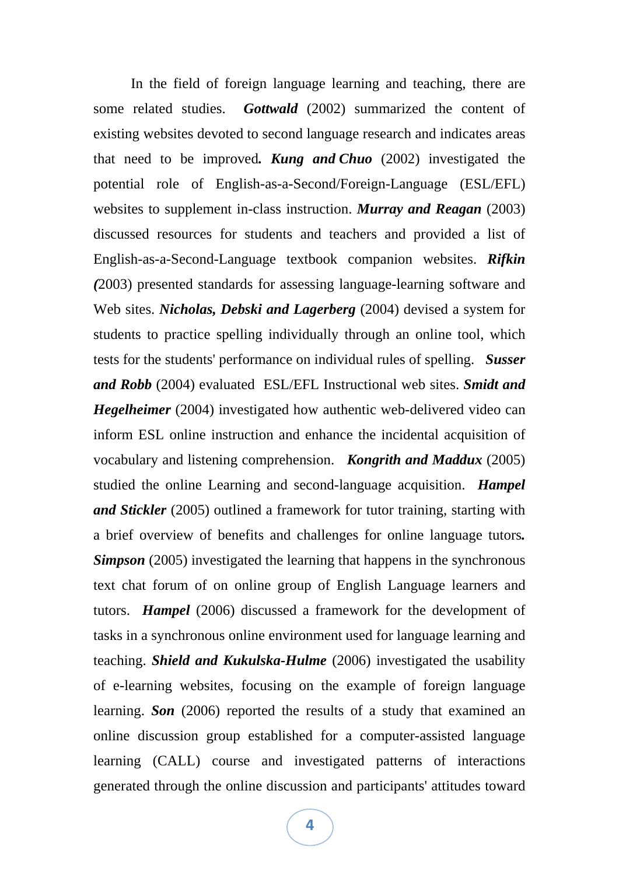In the field of foreign language learning and teaching, there are some related studies. *Gottwald* (2002) summarized the content of existing websites devoted to second language research and indicates areas that need to be improved*. Kung and Chuo* (2002) investigated the potential role of English-as-a-Second/Foreign-Language (ESL/EFL) websites to supplement in-class instruction. *Murray and Reagan* (2003) discussed resources for students and teachers and provided a list of English-as-a-Second-Language textbook companion websites. *Rifkin (*2003) presented standards for assessing language-learning software and Web sites. *Nicholas, Debski and Lagerberg* (2004) devised a system for students to practice spelling individually through an online tool, which tests for the students' performance on individual rules of spelling. *Susser and Robb* (2004) evaluated ESL/EFL Instructional web sites. *Smidt and Hegelheimer* (2004) investigated how authentic web-delivered video can inform ESL online instruction and enhance the incidental acquisition of vocabulary and listening comprehension. *Kongrith and Maddux* (2005) studied the online Learning and second-language acquisition. *Hampel and Stickler* (2005) outlined a framework for tutor training, starting with a brief overview of benefits and challenges for online language tutors*. Simpson* (2005) investigated the learning that happens in the synchronous text chat forum of on online group of English Language learners and tutors. *Hampel* (2006) discussed a framework for the development of tasks in a synchronous online environment used for language learning and teaching. *Shield and Kukulska-Hulme* (2006) investigated the usability of e-learning websites, focusing on the example of foreign language learning. *Son* (2006) reported the results of a study that examined an online discussion group established for a computer-assisted language learning (CALL) course and investigated patterns of interactions generated through the online discussion and participants' attitudes toward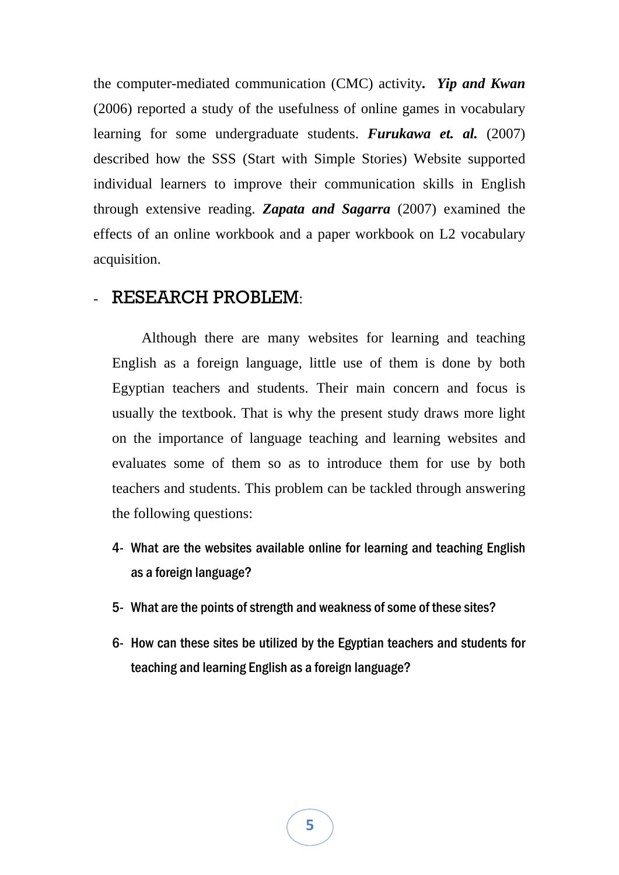the computer-mediated communication (CMC) activity*. Yip and Kwan* (2006) reported a study of the usefulness of online games in vocabulary learning for some undergraduate students. *Furukawa et. al.* (2007) described how the SSS (Start with Simple Stories) Website supported individual learners to improve their communication skills in English through extensive reading. *Zapata and Sagarra* (2007) examined the effects of an online workbook and a paper workbook on L2 vocabulary acquisition.

#### - RESEARCH PROBLEM:

 Although there are many websites for learning and teaching English as a foreign language, little use of them is done by both Egyptian teachers and students. Their main concern and focus is usually the textbook. That is why the present study draws more light on the importance of language teaching and learning websites and evaluates some of them so as to introduce them for use by both teachers and students. This problem can be tackled through answering the following questions:

- 4- What are the websites available online for learning and teaching English as a foreign language?
- 5- What are the points of strength and weakness of some of these sites?
- 6- How can these sites be utilized by the Egyptian teachers and students for teaching and learning English as a foreign language?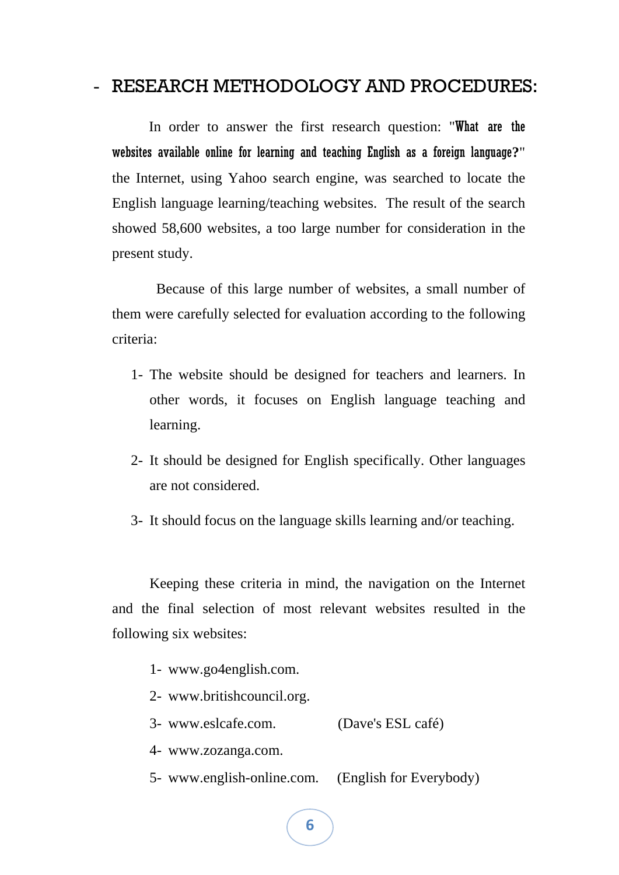## - RESEARCH METHODOLOGY AND PROCEDURES:

 In order to answer the first research question: "What are the websites available online for learning and teaching English as a foreign language**?**" the Internet, using Yahoo search engine, was searched to locate the English language learning/teaching websites. The result of the search showed 58,600 websites, a too large number for consideration in the present study.

 Because of this large number of websites, a small number of them were carefully selected for evaluation according to the following criteria:

- 1- The website should be designed for teachers and learners. In other words, it focuses on English language teaching and learning.
- 2- It should be designed for English specifically. Other languages are not considered.
- 3- It should focus on the language skills learning and/or teaching.

Keeping these criteria in mind, the navigation on the Internet and the final selection of most relevant websites resulted in the following six websites:

- 1- www.go4english.com.
- 2- www.britishcouncil.org.
- 3- www.eslcafe.com. (Dave's ESL café)
- 4- www.zozanga.com.
- 5- www.english-online.com. (English for Everybody)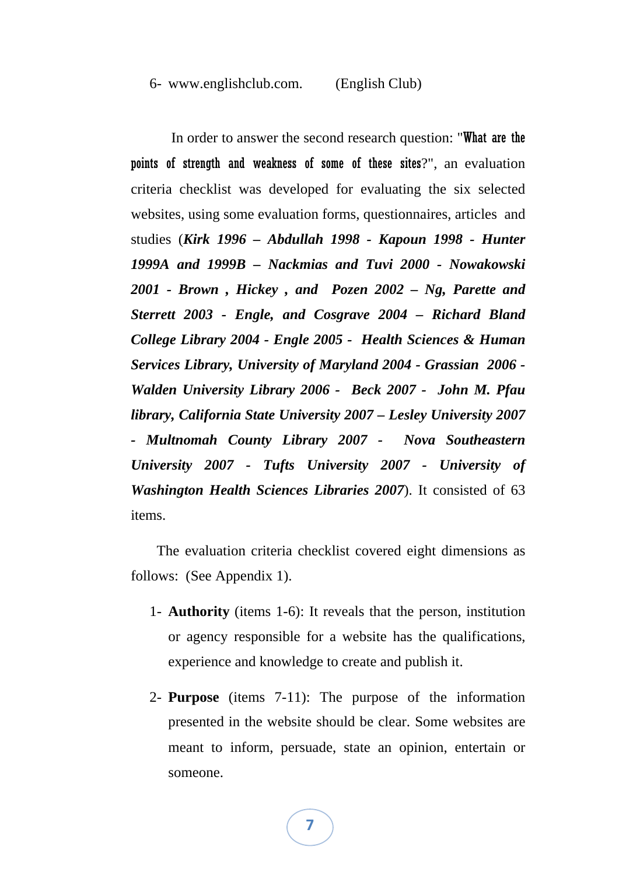#### 6- www.englishclub.com. (English Club)

 In order to answer the second research question: "What are the points of strength and weakness of some of these sites?", an evaluation criteria checklist was developed for evaluating the six selected websites, using some evaluation forms, questionnaires, articles and studies (*Kirk 1996 – Abdullah 1998 - Kapoun 1998 - Hunter 1999A and 1999B – Nackmias and Tuvi 2000 - Nowakowski 2001 - Brown , Hickey , and Pozen 2002 – Ng, Parette and Sterrett 2003 - Engle, and Cosgrave 2004 – Richard Bland College Library 2004 - Engle 2005 - Health Sciences & Human Services Library, University of Maryland 2004 - Grassian 2006 - Walden University Library 2006 - Beck 2007 - John M. Pfau library, California State University 2007 – Lesley University 2007 - Multnomah County Library 2007 - Nova Southeastern University 2007 - Tufts University 2007 - University of Washington Health Sciences Libraries 2007*). It consisted of 63 items.

 The evaluation criteria checklist covered eight dimensions as follows: (See Appendix 1).

- 1- **Authority** (items 1-6): It reveals that the person, institution or agency responsible for a website has the qualifications, experience and knowledge to create and publish it.
- 2- **Purpose** (items 7-11): The purpose of the information presented in the website should be clear. Some websites are meant to inform, persuade, state an opinion, entertain or someone.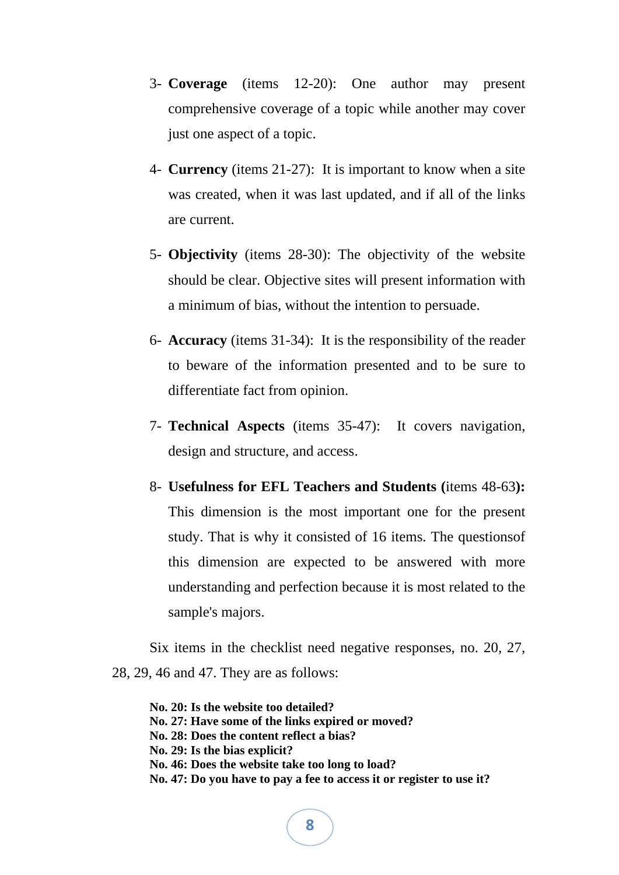- 3- **Coverage** (items 12-20): One author may present comprehensive coverage of a topic while another may cover just one aspect of a topic.
- 4- **Currency** (items 21-27): It is important to know when a site was created, when it was last updated, and if all of the links are current.
- 5- **Objectivity** (items 28-30): The objectivity of the website should be clear. Objective sites will present information with a minimum of bias, without the intention to persuade.
- 6- **Accuracy** (items 31-34): It is the responsibility of the reader to beware of the information presented and to be sure to differentiate fact from opinion.
- 7- **Technical Aspects** (items 35-47): It covers navigation, design and structure, and access.
- 8- **Usefulness for EFL Teachers and Students (**items 48-63**):**  This dimension is the most important one for the present study. That is why it consisted of 16 items. The questionsof this dimension are expected to be answered with more understanding and perfection because it is most related to the sample's majors.

Six items in the checklist need negative responses, no. 20, 27, 28, 29, 46 and 47. They are as follows:

**No. 20: Is the website too detailed? No. 27: Have some of the links expired or moved? No. 28: Does the content reflect a bias? No. 29: Is the bias explicit? No. 46: Does the website take too long to load? No. 47: Do you have to pay a fee to access it or register to use it?**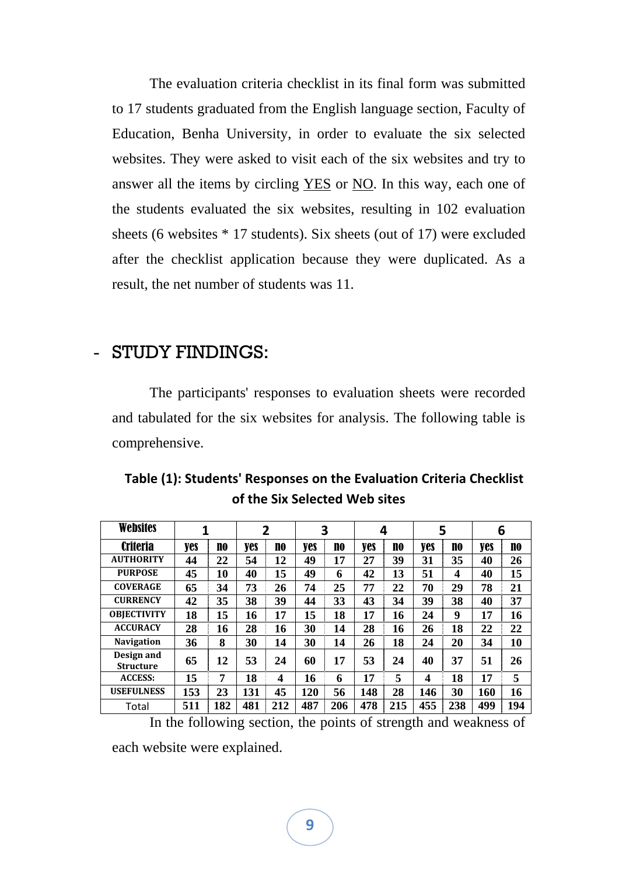The evaluation criteria checklist in its final form was submitted to 17 students graduated from the English language section, Faculty of Education, Benha University, in order to evaluate the six selected websites. They were asked to visit each of the six websites and try to answer all the items by circling YES or NO. In this way, each one of the students evaluated the six websites, resulting in 102 evaluation sheets (6 websites \* 17 students). Six sheets (out of 17) were excluded after the checklist application because they were duplicated. As a result, the net number of students was 11.

## - STUDY FINDINGS:

The participants' responses to evaluation sheets were recorded and tabulated for the six websites for analysis. The following table is comprehensive.

| <b>Websites</b>                | 1   |     |     | $\overline{2}$ | 3   |     | 4   |     |                         | 5                |     | 6              |
|--------------------------------|-----|-----|-----|----------------|-----|-----|-----|-----|-------------------------|------------------|-----|----------------|
| <b>Criteria</b>                | yes | no  | yes | NO             | yes | no  | yes | NO  | <b>yes</b>              | NO               | yes | n <sub>0</sub> |
| <b>AUTHORITY</b>               | 44  | 22  | 54  | 12             | 49  | 17  | 27  | 39  | 31                      | 35               | 40  | 26             |
| <b>PURPOSE</b>                 | 45  | 10  | 40  | 15             | 49  | 6   | 42  | 13  | 51                      | $\boldsymbol{4}$ | 40  | 15             |
| <b>COVERAGE</b>                | 65  | 34  | 73  | 26             | 74  | 25  | 77  | 22  | 70                      | 29               | 78  | 21             |
| <b>CURRENCY</b>                | 42  | 35  | 38  | 39             | 44  | 33  | 43  | 34  | 39                      | 38               | 40  | 37             |
| <b>OBJECTIVITY</b>             | 18  | 15  | 16  | 17             | 15  | 18  | 17  | 16  | 24                      | 9                | 17  | 16             |
| <b>ACCURACY</b>                | 28  | 16  | 28  | 16             | 30  | 14  | 28  | 16  | 26                      | 18               | 22  | 22             |
| <b>Navigation</b>              | 36  | 8   | 30  | 14             | 30  | 14  | 26  | 18  | 24                      | 20               | 34  | 10             |
| Design and<br><b>Structure</b> | 65  | 12  | 53  | 24             | 60  | 17  | 53  | 24  | 40                      | 37               | 51  | 26             |
| <b>ACCESS:</b>                 | 15  | 7   | 18  | 4              | 16  | 6   | 17  | 5   | $\overline{\mathbf{4}}$ | 18               | 17  | 5              |
| <b>USEFULNESS</b>              | 153 | 23  | 131 | 45             | 120 | 56  | 148 | 28  | 146                     | 30               | 160 | 16             |
| Total                          | 511 | 182 | 481 | 212            | 487 | 206 | 478 | 215 | 455                     | 238              | 499 | 194            |

**Table (1): Students' Responses on the Evaluation Criteria Checklist of the Six Selected Web sites**

In the following section, the points of strength and weakness of

each website were explained.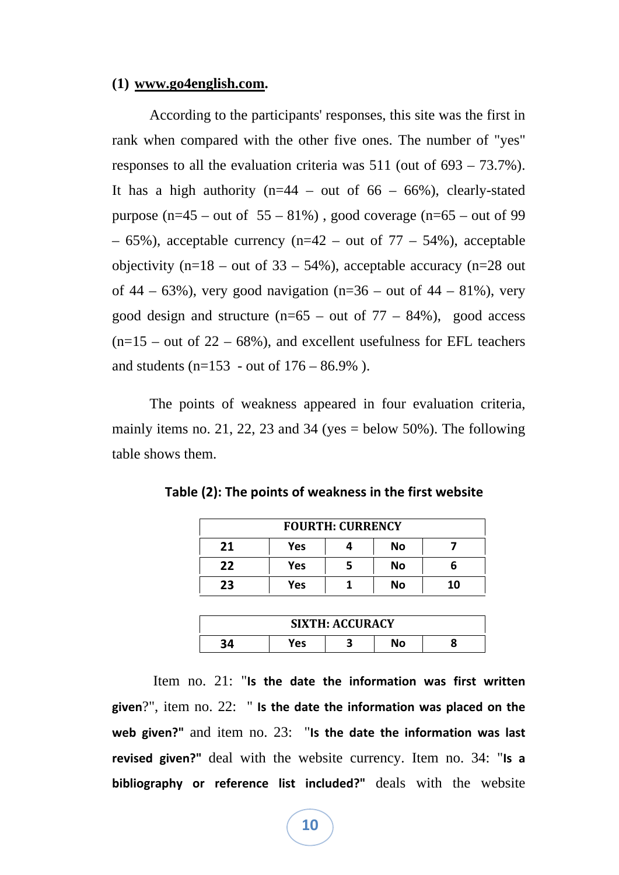#### **(1) www.go4english.com.**

According to the participants' responses, this site was the first in rank when compared with the other five ones. The number of "yes" responses to all the evaluation criteria was 511 (out of 693 – 73.7%). It has a high authority ( $n=44$  – out of 66 – 66%), clearly-stated purpose (n=45 – out of  $55 - 81\%$ ), good coverage (n=65 – out of 99 – 65%), acceptable currency (n=42 – out of  $77 - 54$ %), acceptable objectivity (n=18 – out of  $33 - 54\%$ ), acceptable accuracy (n=28 out of 44 – 63%), very good navigation (n=36 – out of 44 – 81%), very good design and structure  $(n=65 - out of 77 - 84%)$ , good access  $(n=15 - \text{out of } 22 - 68\%)$ , and excellent usefulness for EFL teachers and students ( $n=153$  - out of  $176 - 86.9\%$ ).

The points of weakness appeared in four evaluation criteria, mainly items no. 21, 22, 23 and 34 (yes  $=$  below 50%). The following table shows them.

| <b>FOURTH: CURRENCY</b> |     |  |    |    |  |
|-------------------------|-----|--|----|----|--|
| 21                      | Yes |  | No |    |  |
| 22                      | Yes |  | No |    |  |
| 23                      | Yes |  | No | 10 |  |

**Table (2): The points of weakness in the first website**

| <b>SIXTH: ACCURACY</b> |     |  |    |  |  |
|------------------------|-----|--|----|--|--|
| ΙЛ                     | Yes |  | No |  |  |

 Item no. 21: "**Is the date the information was first written given**?", item no. 22: " **Is the date the information was placed on the web given?"** and item no. 23: "**Is the date the information was last revised given?"** deal with the website currency. Item no. 34: "**Is a bibliography or reference list included?"** deals with the website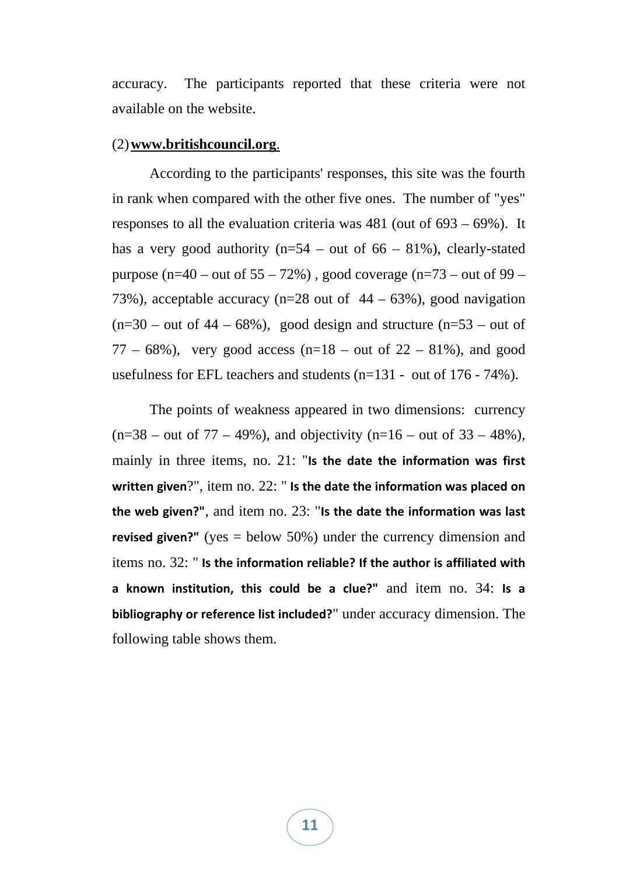accuracy. The participants reported that these criteria were not available on the website.

#### (2)**www.britishcouncil.org**.

According to the participants' responses, this site was the fourth in rank when compared with the other five ones. The number of "yes" responses to all the evaluation criteria was 481 (out of 693 – 69%). It has a very good authority ( $n=54$  – out of 66 – 81%), clearly-stated purpose (n=40 – out of  $55 - 72\%$ ), good coverage (n=73 – out of 99 – 73%), acceptable accuracy ( $n=28$  out of  $44 - 63$ %), good navigation  $(n=30 - \text{out of } 44 - 68\%)$ , good design and structure  $(n=53 - \text{out of } 44 - 68\%)$ 77 – 68%), very good access (n=18 – out of  $22 - 81$ %), and good usefulness for EFL teachers and students (n=131 - out of 176 - 74%).

The points of weakness appeared in two dimensions: currency  $(n=38 - \text{out of } 77 - 49\%)$ , and objectivity  $(n=16 - \text{out of } 33 - 48\%)$ , mainly in three items, no. 21: "**Is the date the information was first written given**?", item no. 22: " **Is the date the information was placed on the web given?"**, and item no. 23: "**Is the date the information was last revised given?"** (yes = below 50%) under the currency dimension and items no. 32: " **Is the information reliable? If the author is affiliated with a known institution, this could be a clue?"** and item no. 34: **Is a bibliography or reference list included?**" under accuracy dimension. The following table shows them.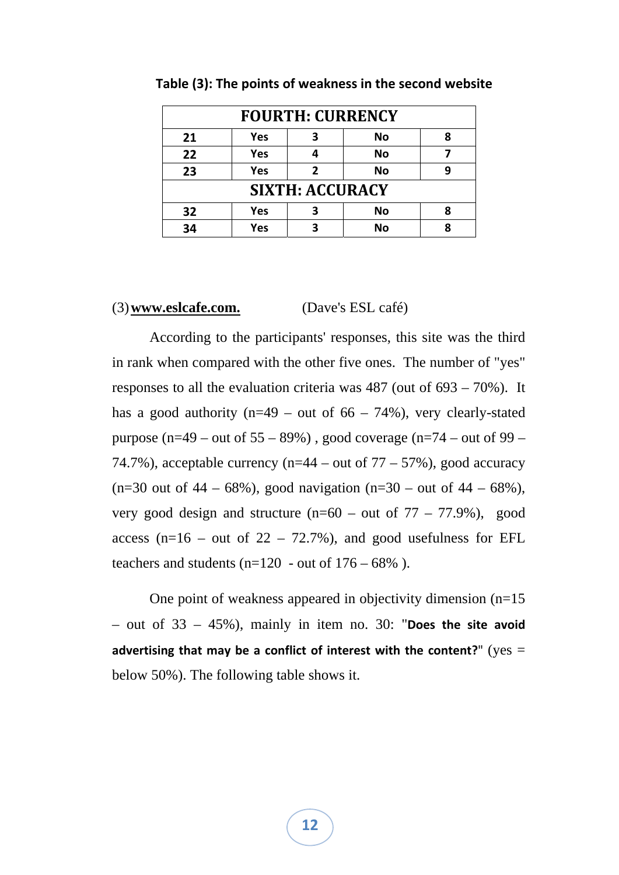| <b>FOURTH: CURRENCY</b> |                        |   |           |   |  |  |
|-------------------------|------------------------|---|-----------|---|--|--|
| 21                      | Yes                    | 3 | No        | 8 |  |  |
| 22                      | <b>Yes</b>             |   | <b>No</b> |   |  |  |
| 23                      | <b>Yes</b>             | 2 | <b>No</b> | q |  |  |
|                         | <b>SIXTH: ACCURACY</b> |   |           |   |  |  |
| 32                      | Yes                    | З | No        | 8 |  |  |
| 34                      | Yes                    | ર | <b>No</b> |   |  |  |

**Table (3): The points of weakness in the second website**

#### (3)**www.eslcafe.com.** (Dave's ESL café)

According to the participants' responses, this site was the third in rank when compared with the other five ones. The number of "yes" responses to all the evaluation criteria was 487 (out of 693 – 70%). It has a good authority ( $n=49$  – out of 66 – 74%), very clearly-stated purpose (n=49 – out of  $55 - 89\%$ ), good coverage (n=74 – out of 99 – 74.7%), acceptable currency ( $n=44$  – out of 77 – 57%), good accuracy (n=30 out of  $44 - 68\%$ ), good navigation (n=30 – out of  $44 - 68\%$ ), very good design and structure  $(n=60 - \text{out of } 77 - 77.9\%)$ , good access ( $n=16$  – out of 22 – 72.7%), and good usefulness for EFL teachers and students ( $n=120$  - out of  $176 - 68\%$ ).

One point of weakness appeared in objectivity dimension (n=15 – out of 33 – 45%), mainly in item no. 30: "**Does the site avoid advertising that may be a conflict of interest with the content?**" (yes = below 50%). The following table shows it.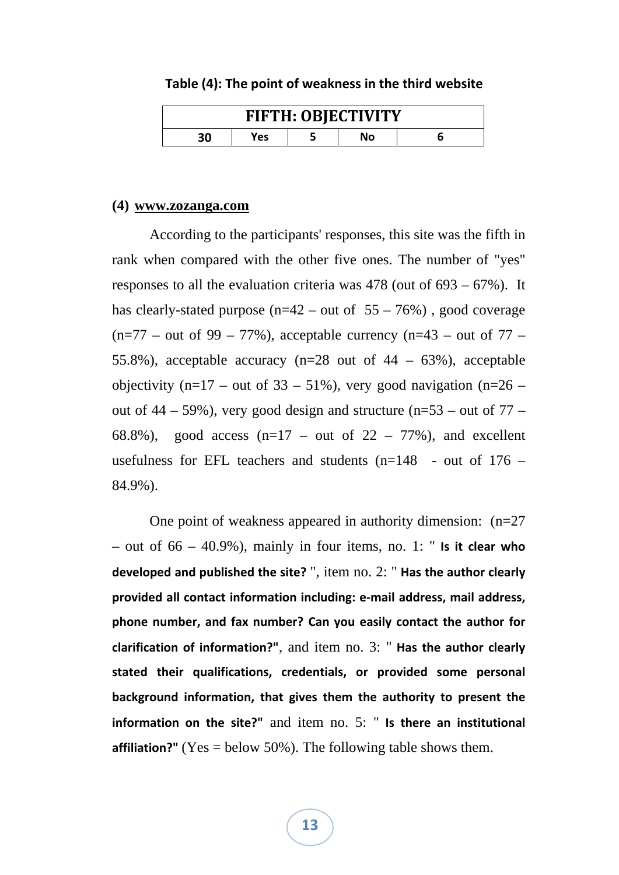#### **Table (4): The point of weakness in the third website**

| <b>FIFTH: OBJECTIVITY</b> |     |  |  |  |  |
|---------------------------|-----|--|--|--|--|
|                           | Yes |  |  |  |  |

#### **(4) www.zozanga.com**

According to the participants' responses, this site was the fifth in rank when compared with the other five ones. The number of "yes" responses to all the evaluation criteria was 478 (out of 693 – 67%). It has clearly-stated purpose  $(n=42 - \text{out of } 55 - 76%)$ , good coverage  $(n=77 - \text{out of } 99 - 77\%)$ , acceptable currency  $(n=43 - \text{out of } 77 - \text{out of } 77)$ 55.8%), acceptable accuracy (n=28 out of 44 – 63%), acceptable objectivity (n=17 – out of 33 – 51%), very good navigation (n=26 – out of  $44 - 59\%$ ), very good design and structure (n=53 – out of  $77 -$ 68.8%), good access ( $n=17$  – out of 22 – 77%), and excellent usefulness for EFL teachers and students  $(n=148 -$  out of 176 – 84.9%).

One point of weakness appeared in authority dimension: (n=27 – out of 66 – 40.9%), mainly in four items, no. 1: " **Is it clear who developed and published the site?** ", item no. 2: " **Has the author clearly provided all contact information including: e‐mail address, mail address, phone number, and fax number? Can you easily contact the author for clarification of information?"**, and item no. 3: " **Has the author clearly stated their qualifications, credentials, or provided some personal background information, that gives them the authority to present the information on the site?"** and item no. 5: " **Is there an institutional affiliation?"** (Yes = below 50%). The following table shows them.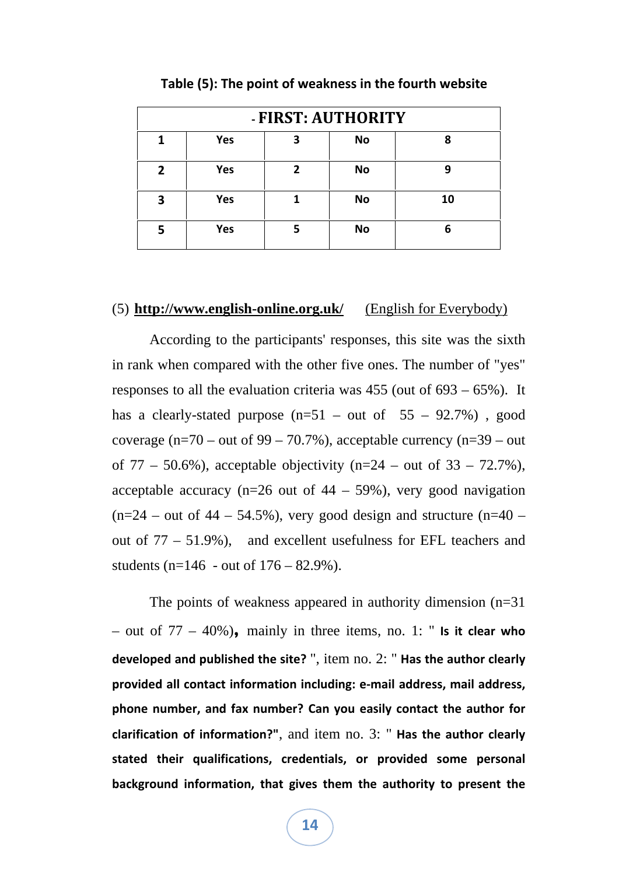|                  | - FIRST: AUTHORITY |   |           |    |  |  |  |
|------------------|--------------------|---|-----------|----|--|--|--|
|                  | Yes                |   | <b>No</b> | 8  |  |  |  |
| $\boldsymbol{z}$ | Yes                | 7 | <b>No</b> |    |  |  |  |
| 3                | Yes                |   | <b>No</b> | 10 |  |  |  |
|                  | Yes                |   | <b>No</b> | 6  |  |  |  |

**Table (5): The point of weakness in the fourth website**

#### (5) **http://www.english-online.org.uk/** (English for Everybody)

According to the participants' responses, this site was the sixth in rank when compared with the other five ones. The number of "yes" responses to all the evaluation criteria was 455 (out of 693 – 65%). It has a clearly-stated purpose  $(n=51 - out of 55 - 92.7%)$ , good coverage  $(n=70 - \text{out of } 99 - 70.7\%)$ , acceptable currency  $(n=39 - \text{out})$ of  $77 - 50.6\%$ ), acceptable objectivity (n=24 – out of  $33 - 72.7\%$ ), acceptable accuracy ( $n=26$  out of  $44 - 59\%$ ), very good navigation  $(n=24 - \text{out of } 44 - 54.5\%)$ , very good design and structure  $(n=40 - \text{in } 44)$ out of 77 – 51.9%), and excellent usefulness for EFL teachers and students ( $n=146$  - out of  $176 - 82.9\%$ ).

The points of weakness appeared in authority dimension  $(n=31)$ – out of 77 – 40%)**,** mainly in three items, no. 1: " **Is it clear who developed and published the site?** ", item no. 2: " **Has the author clearly provided all contact information including: e‐mail address, mail address, phone number, and fax number? Can you easily contact the author for clarification of information?"**, and item no. 3: " **Has the author clearly stated their qualifications, credentials, or provided some personal background information, that gives them the authority to present the**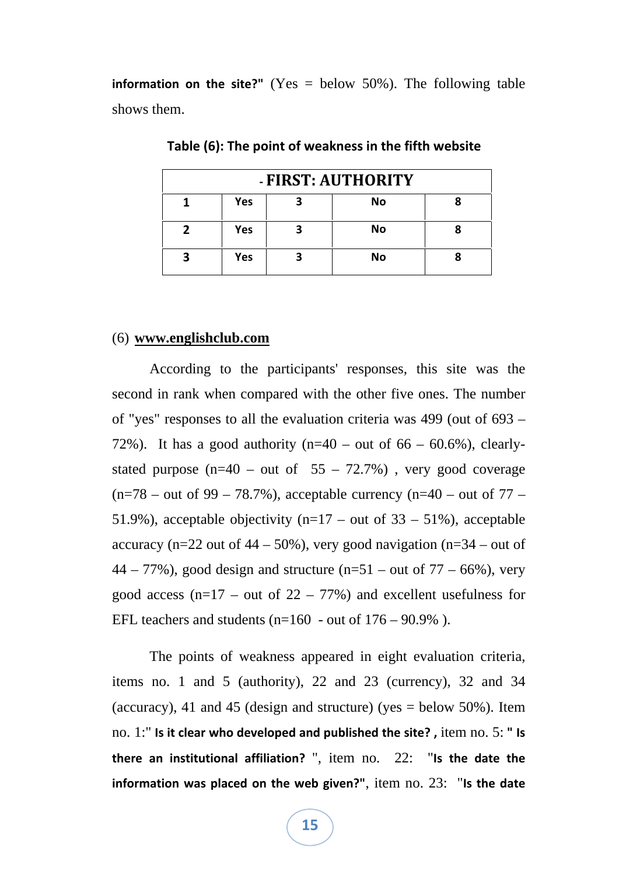**information on the site?"** (Yes = below 50%). The following table shows them.

| - FIRST: AUTHORITY |            |  |           |  |  |
|--------------------|------------|--|-----------|--|--|
|                    | <b>Yes</b> |  | <b>No</b> |  |  |
|                    | <b>Yes</b> |  | <b>No</b> |  |  |
|                    | <b>Yes</b> |  | <b>No</b> |  |  |

**Table (6): The point of weakness in the fifth website**

#### (6) **www.englishclub.com**

According to the participants' responses, this site was the second in rank when compared with the other five ones. The number of "yes" responses to all the evaluation criteria was 499 (out of 693 – 72%). It has a good authority ( $n=40$  – out of 66 – 60.6%), clearlystated purpose  $(n=40 - out of 55 - 72.7%)$ , very good coverage  $(n=78 - \text{out of } 99 - 78.7\%)$ , acceptable currency  $(n=40 - \text{out of } 77 - \text{in } 78.7\%)$ 51.9%), acceptable objectivity ( $n=17$  – out of 33 – 51%), acceptable accuracy (n=22 out of  $44 - 50\%$ ), very good navigation (n=34 – out of  $44 - 77\%$ ), good design and structure (n=51 – out of 77 – 66%), very good access ( $n=17$  – out of 22 – 77%) and excellent usefulness for EFL teachers and students ( $n=160$  - out of  $176 - 90.9\%$ ).

The points of weakness appeared in eight evaluation criteria, items no. 1 and 5 (authority), 22 and 23 (currency), 32 and 34 (accuracy), 41 and 45 (design and structure) (yes  $=$  below 50%). Item no. 1:" **Is it clear who developed and published the site? ,** item no. 5: **" Is there an institutional affiliation?** ", item no. 22: "**Is the date the information was placed on the web given?"**, item no. 23: "**Is the date**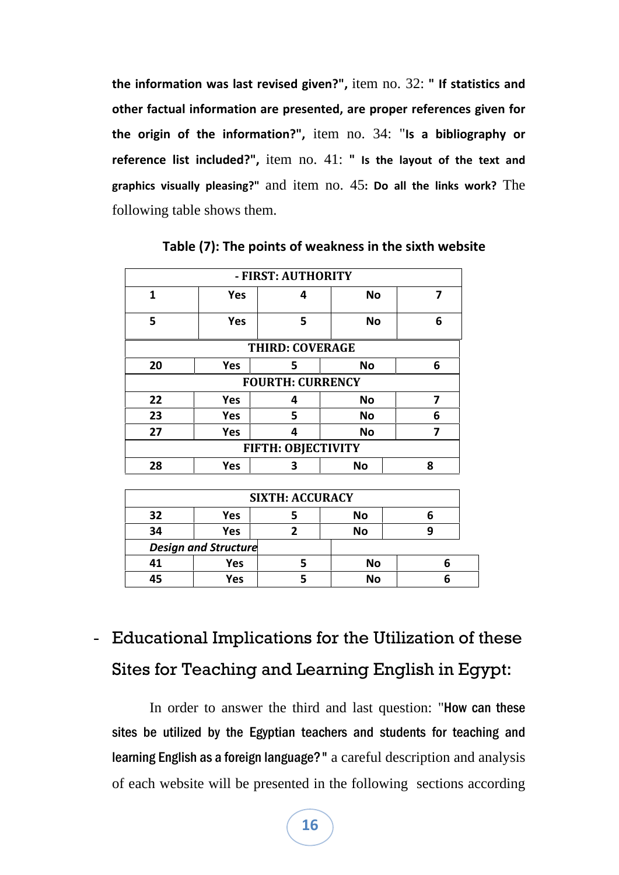**the information was last revised given?",** item no. 32: **" If statistics and other factual information are presented, are proper references given for the origin of the information?",** item no. 34: "**Is a bibliography or reference list included?",** item no. 41: **" Is the layout of the text and graphics visually pleasing?"** and item no. 45**: Do all the links work?** The following table shows them.

| - FIRST: AUTHORITY        |                        |                         |           |   |  |  |
|---------------------------|------------------------|-------------------------|-----------|---|--|--|
| 1                         | <b>Yes</b>             | 4                       | <b>No</b> | 7 |  |  |
| 5                         | <b>Yes</b>             | 5                       | <b>No</b> | 6 |  |  |
|                           | <b>THIRD: COVERAGE</b> |                         |           |   |  |  |
| 20                        | <b>Yes</b>             | 5                       | No        | 6 |  |  |
|                           |                        | <b>FOURTH: CURRENCY</b> |           |   |  |  |
| 22                        | Yes                    | 4                       | <b>No</b> | 7 |  |  |
| 23                        | <b>Yes</b>             | 5                       | <b>No</b> | 6 |  |  |
| 27                        | Yes                    | Δ                       | <b>No</b> | 7 |  |  |
| <b>FIFTH: OBJECTIVITY</b> |                        |                         |           |   |  |  |
| 28                        | <b>Yes</b>             | 3                       | <b>No</b> | 8 |  |  |

**Table (7): The points of weakness in the sixth website**

| <b>SIXTH: ACCURACY</b>      |     |  |           |  |  |
|-----------------------------|-----|--|-----------|--|--|
| 32                          | Yes |  | No        |  |  |
| 34                          | Yes |  | No        |  |  |
| <b>Design and Structure</b> |     |  |           |  |  |
| 41                          | Yes |  | <b>No</b> |  |  |
| 15                          | Yes |  | <b>No</b> |  |  |

## - Educational Implications for the Utilization of these Sites for Teaching and Learning English in Egypt:

In order to answer the third and last question: "How can these sites be utilized by the Egyptian teachers and students for teaching and learning English as a foreign language?" a careful description and analysis of each website will be presented in the following sections according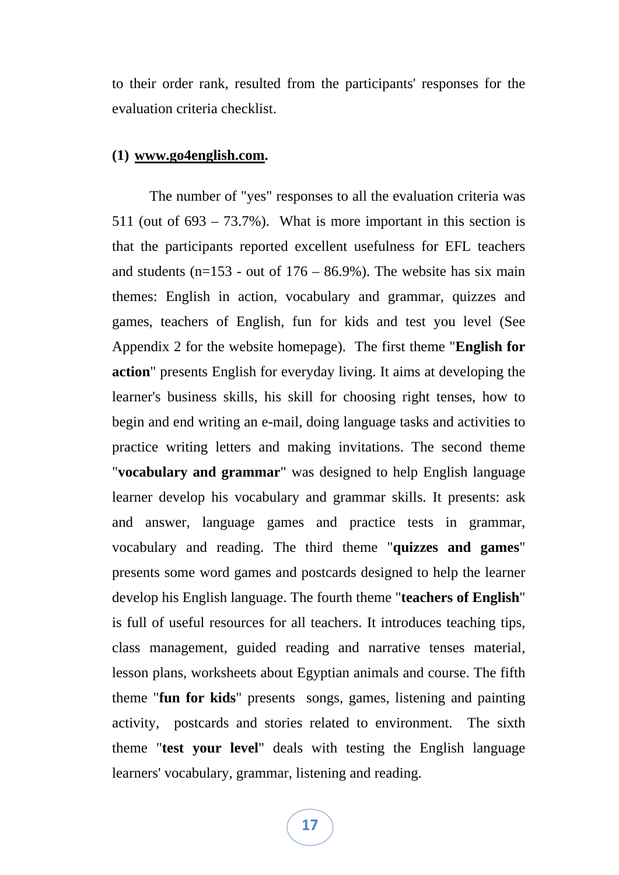to their order rank, resulted from the participants' responses for the evaluation criteria checklist.

#### **(1) www.go4english.com.**

The number of "yes" responses to all the evaluation criteria was 511 (out of  $693 - 73.7\%$ ). What is more important in this section is that the participants reported excellent usefulness for EFL teachers and students ( $n=153$  - out of  $176 - 86.9\%$ ). The website has six main themes: English in action, vocabulary and grammar, quizzes and games, teachers of English, fun for kids and test you level (See Appendix 2 for the website homepage). The first theme "**English for action**" presents English for everyday living. It aims at developing the learner's business skills, his skill for choosing right tenses, how to begin and end writing an e-mail, doing language tasks and activities to practice writing letters and making invitations. The second theme "**vocabulary and grammar**" was designed to help English language learner develop his vocabulary and grammar skills. It presents: ask and answer, language games and practice tests in grammar, vocabulary and reading. The third theme "**quizzes and games**" presents some word games and postcards designed to help the learner develop his English language. The fourth theme "**teachers of English**" is full of useful resources for all teachers. It introduces teaching tips, class management, guided reading and narrative tenses material, lesson plans, worksheets about Egyptian animals and course. The fifth theme "**fun for kids**" presents songs, games, listening and painting activity, postcards and stories related to environment. The sixth theme "**test your level**" deals with testing the English language learners' vocabulary, grammar, listening and reading.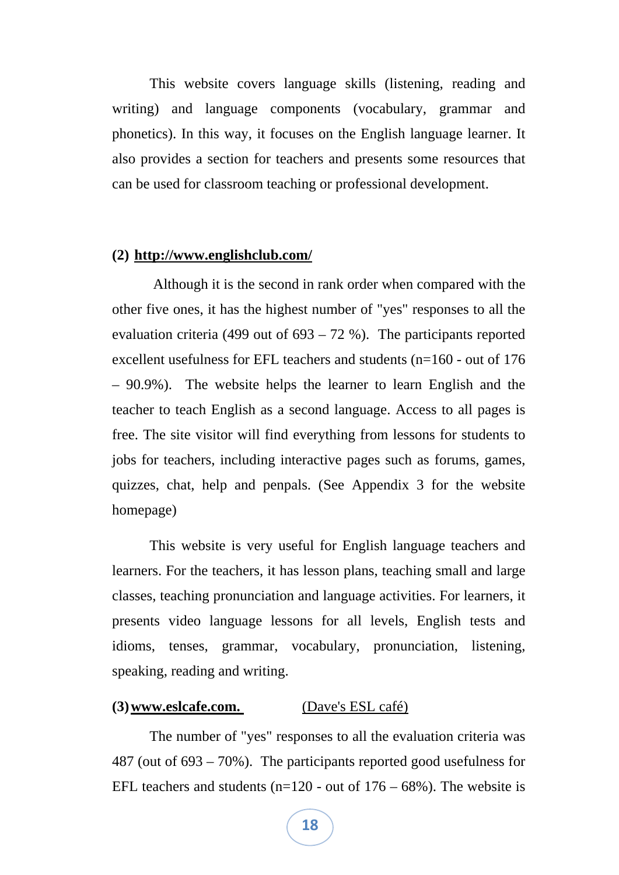This website covers language skills (listening, reading and writing) and language components (vocabulary, grammar and phonetics). In this way, it focuses on the English language learner. It also provides a section for teachers and presents some resources that can be used for classroom teaching or professional development.

#### **(2) http://www.englishclub.com/**

 Although it is the second in rank order when compared with the other five ones, it has the highest number of "yes" responses to all the evaluation criteria (499 out of  $693 - 72$  %). The participants reported excellent usefulness for EFL teachers and students (n=160 - out of 176 – 90.9%). The website helps the learner to learn English and the teacher to teach English as a second language. Access to all pages is free. The site visitor will find everything from lessons for students to jobs for teachers, including interactive pages such as forums, games, quizzes, chat, help and penpals. (See Appendix 3 for the website homepage)

This website is very useful for English language teachers and learners. For the teachers, it has lesson plans, teaching small and large classes, teaching pronunciation and language activities. For learners, it presents video language lessons for all levels, English tests and idioms, tenses, grammar, vocabulary, pronunciation, listening, speaking, reading and writing.

#### **(3)www.eslcafe.com.** (Dave's ESL café)

The number of "yes" responses to all the evaluation criteria was 487 (out of 693 – 70%). The participants reported good usefulness for EFL teachers and students ( $n=120$  - out of  $176 - 68\%$ ). The website is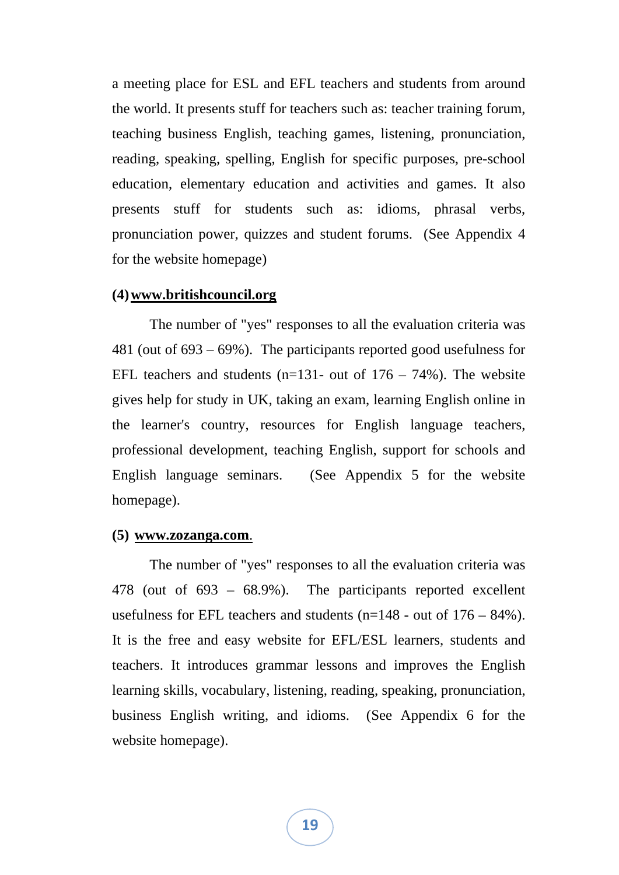a meeting place for ESL and EFL teachers and students from around the world. It presents stuff for teachers such as: teacher training forum, teaching business English, teaching games, listening, pronunciation, reading, speaking, spelling, English for specific purposes, pre-school education, elementary education and activities and games. It also presents stuff for students such as: idioms, phrasal verbs, pronunciation power, quizzes and student forums. (See Appendix 4 for the website homepage)

#### **(4)www.britishcouncil.org**

The number of "yes" responses to all the evaluation criteria was 481 (out of 693 – 69%). The participants reported good usefulness for EFL teachers and students (n=131- out of  $176 - 74\%$ ). The website gives help for study in UK, taking an exam, learning English online in the learner's country, resources for English language teachers, professional development, teaching English, support for schools and English language seminars. (See Appendix 5 for the website homepage).

#### **(5) www.zozanga.com**.

The number of "yes" responses to all the evaluation criteria was 478 (out of 693 – 68.9%). The participants reported excellent usefulness for EFL teachers and students  $(n=148 - \text{out of } 176 - 84\%)$ . It is the free and easy website for EFL/ESL learners, students and teachers. It introduces grammar lessons and improves the English learning skills, vocabulary, listening, reading, speaking, pronunciation, business English writing, and idioms. (See Appendix 6 for the website homepage).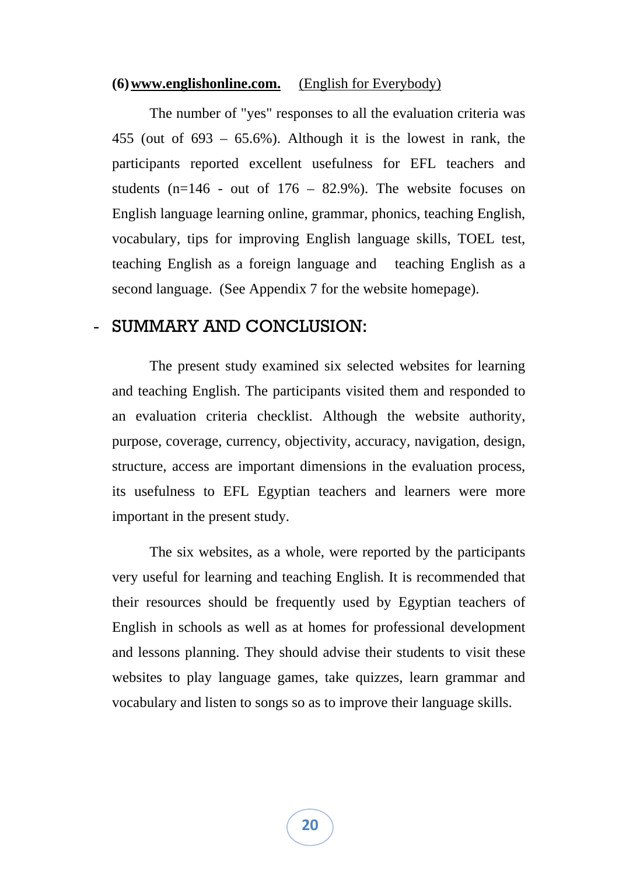#### **(6)www.englishonline.com.** (English for Everybody)

The number of "yes" responses to all the evaluation criteria was 455 (out of 693 – 65.6%). Although it is the lowest in rank, the participants reported excellent usefulness for EFL teachers and students ( $n=146$  - out of  $176 - 82.9%$ ). The website focuses on English language learning online, grammar, phonics, teaching English, vocabulary, tips for improving English language skills, TOEL test, teaching English as a foreign language and teaching English as a second language. (See Appendix 7 for the website homepage).

## SUMMARY AND CONCLUSION:

The present study examined six selected websites for learning and teaching English. The participants visited them and responded to an evaluation criteria checklist. Although the website authority, purpose, coverage, currency, objectivity, accuracy, navigation, design, structure, access are important dimensions in the evaluation process, its usefulness to EFL Egyptian teachers and learners were more important in the present study.

The six websites, as a whole, were reported by the participants very useful for learning and teaching English. It is recommended that their resources should be frequently used by Egyptian teachers of English in schools as well as at homes for professional development and lessons planning. They should advise their students to visit these websites to play language games, take quizzes, learn grammar and vocabulary and listen to songs so as to improve their language skills.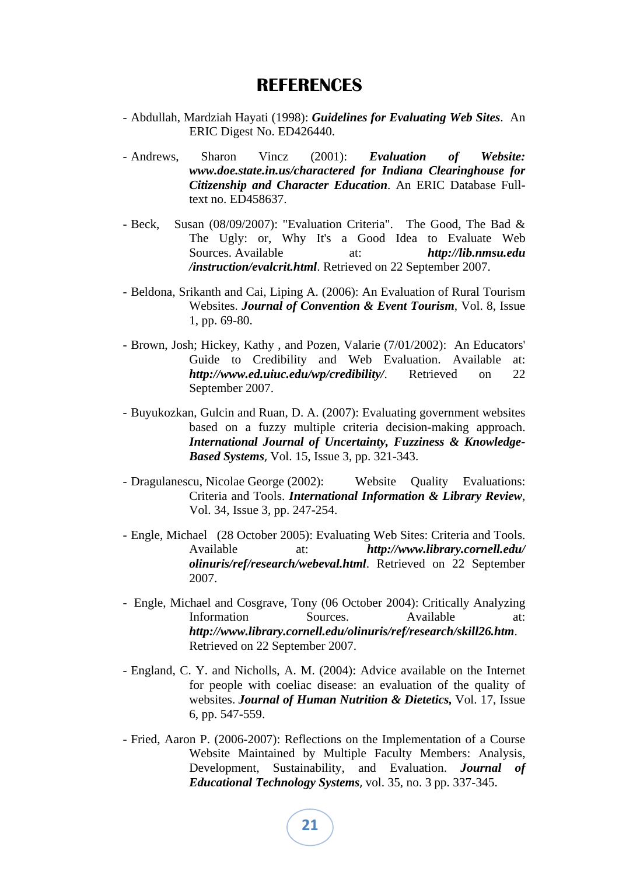### **REFERENCES**

- Abdullah, Mardziah Hayati (1998): *Guidelines for Evaluating Web Sites*. An ERIC Digest No. ED426440.
- Andrews, Sharon Vincz (2001): *Evaluation of Website: www.doe.state.in.us/charactered for Indiana Clearinghouse for Citizenship and Character Education*. An ERIC Database Fulltext no. ED458637.
- Beck, Susan (08/09/2007): "Evaluation Criteria". The Good, The Bad & The Ugly: or, Why It's a Good Idea to Evaluate Web Sources. Available at: *http://lib.nmsu.edu /instruction/evalcrit.html*. Retrieved on 22 September 2007.
- Beldona, Srikanth and Cai, Liping A. (2006): An Evaluation of Rural Tourism Websites. *Journal of Convention & Event Tourism*, Vol. 8, Issue 1, pp. 69-80.
- Brown, Josh; Hickey, Kathy , and Pozen, Valarie (7/01/2002): An Educators' Guide to Credibility and Web Evaluation. Available at: *http://www.ed.uiuc.edu/wp/credibility/*. Retrieved on 22 September 2007.
- Buyukozkan, Gulcin and Ruan, D. A. (2007): Evaluating government websites based on a fuzzy multiple criteria decision-making approach. *International Journal of Uncertainty, Fuzziness & Knowledge-Based Systems*, Vol. 15, Issue 3, pp. 321-343.
- Dragulanescu, Nicolae George (2002): Website Quality Evaluations: Criteria and Tools. *International Information & Library Review*, Vol. 34, Issue 3, pp. 247-254.
- Engle, Michael (28 October 2005): Evaluating Web Sites: Criteria and Tools. Available at: *http://www.library.cornell.edu/ olinuris/ref/research/webeval.html*. Retrieved on 22 September 2007.
- Engle, Michael and Cosgrave, Tony (06 October 2004): Critically Analyzing Information Sources. Available at: *http://www.library.cornell.edu/olinuris/ref/research/skill26.htm*. Retrieved on 22 September 2007.
- England, C. Y. and Nicholls, A. M. (2004): Advice available on the Internet for people with coeliac disease: an evaluation of the quality of websites. *Journal of Human Nutrition & Dietetics,* Vol. 17, Issue 6, pp. 547-559.
- Fried, Aaron P. (2006-2007): Reflections on the Implementation of a Course Website Maintained by Multiple Faculty Members: Analysis, Development, Sustainability, and Evaluation. *Journal of Educational Technology Systems*, vol. 35, no. 3 pp. 337-345.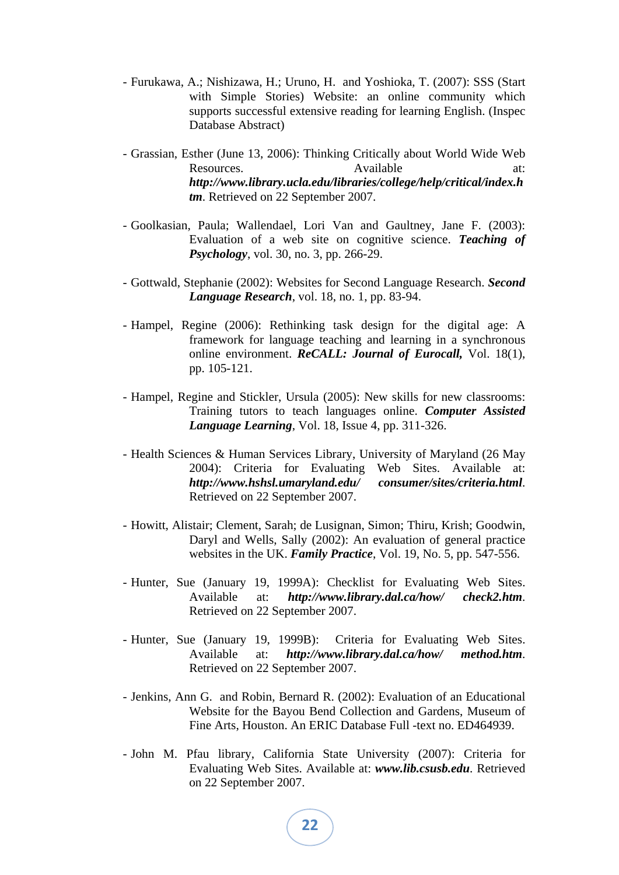- Furukawa, A.; Nishizawa, H.; Uruno, H. and Yoshioka, T. (2007): SSS (Start with Simple Stories) Website: an online community which supports successful extensive reading for learning English. (Inspec Database Abstract)
- Grassian, Esther (June 13, 2006): Thinking Critically about World Wide Web Resources. Available at: *http://www.library.ucla.edu/libraries/college/help/critical/index.h tm*. Retrieved on 22 September 2007.
- Goolkasian, Paula; Wallendael, Lori Van and Gaultney, Jane F. (2003): Evaluation of a web site on cognitive science. *Teaching of Psychology*, vol. 30, no. 3, pp. 266-29.
- Gottwald, Stephanie (2002): Websites for Second Language Research. *Second Language Research*, vol. 18, no. 1, pp. 83-94.
- Hampel, Regine (2006): Rethinking task design for the digital age: A framework for language teaching and learning in a synchronous online environment. *ReCALL: Journal of Eurocall,* Vol. 18(1), pp. 105-121.
- Hampel, Regine and Stickler, Ursula (2005): New skills for new classrooms: Training tutors to teach languages online. *Computer Assisted Language Learning*, Vol. 18, Issue 4, pp. 311-326.
- Health Sciences & Human Services Library, University of Maryland (26 May 2004): Criteria for Evaluating Web Sites. Available at: *http://www.hshsl.umaryland.edu/ consumer/sites/criteria.html*. Retrieved on 22 September 2007.
- Howitt, Alistair; Clement, Sarah; de Lusignan, Simon; Thiru, Krish; Goodwin, Daryl and Wells, Sally (2002): An evaluation of general practice websites in the UK. *Family Practice*, Vol. 19, No. 5, pp. 547-556.
- Hunter, Sue (January 19, 1999A): Checklist for Evaluating Web Sites. Available at: *http://www.library.dal.ca/how/ check2.htm*. Retrieved on 22 September 2007.
- Hunter, Sue (January 19, 1999B): Criteria for Evaluating Web Sites. Available at: *http://www.library.dal.ca/how/ method.htm*. Retrieved on 22 September 2007.
- Jenkins, Ann G. and Robin, Bernard R. (2002): Evaluation of an Educational Website for the Bayou Bend Collection and Gardens, Museum of Fine Arts, Houston. An ERIC Database Full -text no. ED464939.
- John M. Pfau library, California State University (2007): Criteria for Evaluating Web Sites. Available at: *www.lib.csusb.edu*. Retrieved on 22 September 2007.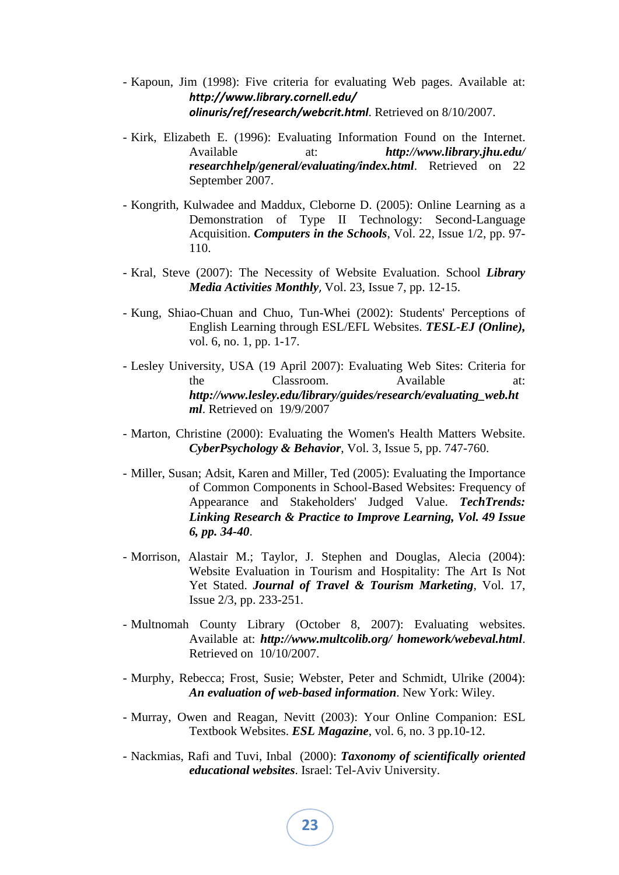- Kapoun, Jim (1998): Five criteria for evaluating Web pages. Available at: *http://www.library.cornell.edu/ olinuris/ref/research/webcrit.html*. Retrieved on 8/10/2007.
- Kirk, Elizabeth E. (1996): Evaluating Information Found on the Internet. Available at: *http://www.library.jhu.edu/ researchhelp/general/evaluating/index.html*. Retrieved on 22 September 2007.
- Kongrith, Kulwadee and Maddux, Cleborne D. (2005): Online Learning as a Demonstration of Type II Technology: Second-Language Acquisition. *Computers in the Schools*, Vol. 22, Issue 1/2, pp. 97- 110.
- Kral, Steve (2007): The Necessity of Website Evaluation. School *Library Media Activities Monthly*, Vol. 23, Issue 7, pp. 12-15.
- Kung, Shiao-Chuan and Chuo, Tun-Whei (2002): Students' Perceptions of English Learning through ESL/EFL Websites. *TESL-EJ (Online),* vol. 6, no. 1, pp. 1-17.
- Lesley University, USA (19 April 2007): Evaluating Web Sites: Criteria for the Classroom. Available at: *http://www.lesley.edu/library/guides/research/evaluating\_web.ht ml*. Retrieved on 19/9/2007
- Marton, Christine (2000): Evaluating the Women's Health Matters Website. *CyberPsychology & Behavior*, Vol. 3, Issue 5, pp. 747-760.
- Miller, Susan; Adsit, Karen and Miller, Ted (2005): Evaluating the Importance of Common Components in School-Based Websites: Frequency of Appearance and Stakeholders' Judged Value. *TechTrends: Linking Research & Practice to Improve Learning, Vol. 49 Issue 6, pp. 34-40*.
- Morrison, Alastair M.; Taylor, J. Stephen and Douglas, Alecia (2004): Website Evaluation in Tourism and Hospitality: The Art Is Not Yet Stated. *Journal of Travel & Tourism Marketing*, Vol. 17, Issue 2/3, pp. 233-251.
- Multnomah County Library (October 8, 2007): Evaluating websites. Available at: *http://www.multcolib.org/ homework/webeval.html*. Retrieved on 10/10/2007.
- Murphy, Rebecca; Frost, Susie; Webster, Peter and Schmidt, Ulrike (2004): *An evaluation of web-based information*. New York: Wiley.
- Murray, Owen and Reagan, Nevitt (2003): Your Online Companion: ESL Textbook Websites. *ESL Magazine*, vol. 6, no. 3 pp.10-12.
- Nackmias, Rafi and Tuvi, Inbal (2000): *Taxonomy of scientifically oriented educational websites*. Israel: Tel-Aviv University.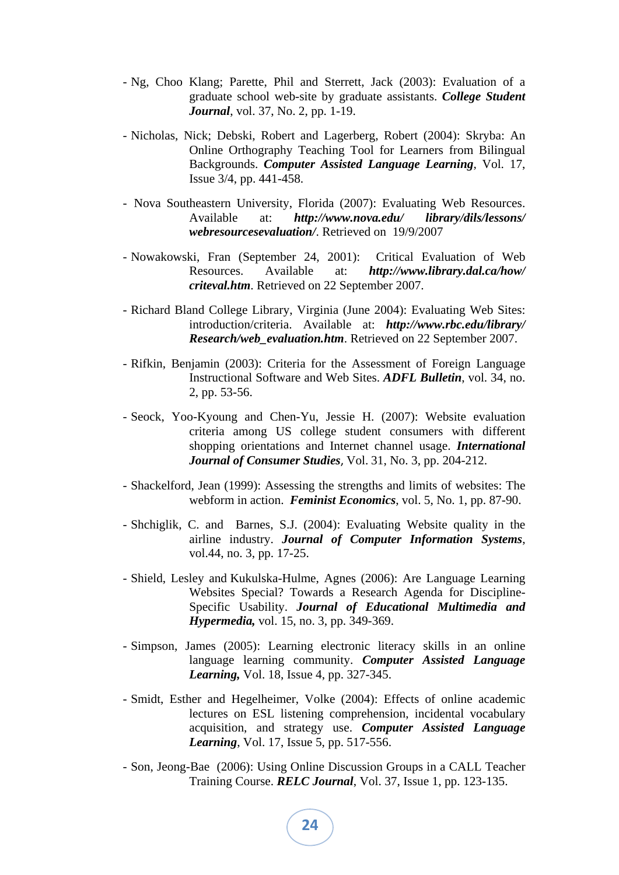- Ng, Choo Klang; Parette, Phil and Sterrett, Jack (2003): Evaluation of a graduate school web-site by graduate assistants. *College Student Journal*, vol. 37, No. 2, pp. 1-19.
- Nicholas, Nick; Debski, Robert and Lagerberg, Robert (2004): Skryba: An Online Orthography Teaching Tool for Learners from Bilingual Backgrounds. *Computer Assisted Language Learning*, Vol. 17, Issue 3/4, pp. 441-458.
- Nova Southeastern University, Florida (2007): Evaluating Web Resources. Available at: *http://www.nova.edu/ library/dils/lessons/ webresourcesevaluation/*. Retrieved on 19/9/2007
- Nowakowski, Fran (September 24, 2001): Critical Evaluation of Web Resources. Available at: *http://www.library.dal.ca/how/ criteval.htm*. Retrieved on 22 September 2007.
- Richard Bland College Library, Virginia (June 2004): Evaluating Web Sites: introduction/criteria. Available at: *http://www.rbc.edu/library/ Research/web\_evaluation.htm*. Retrieved on 22 September 2007.
- Rifkin, Benjamin (2003): Criteria for the Assessment of Foreign Language Instructional Software and Web Sites. *ADFL Bulletin*, vol. 34, no. 2, pp. 53-56.
- Seock, Yoo-Kyoung and Chen-Yu, Jessie H. (2007): Website evaluation criteria among US college student consumers with different shopping orientations and Internet channel usage. *International Journal of Consumer Studies*, Vol. 31, No. 3, pp. 204-212.
- Shackelford, Jean (1999): Assessing the strengths and limits of websites: The webform in action. *Feminist Economics*, vol. 5, No. 1, pp. 87-90.
- Shchiglik, C. and Barnes, S.J. (2004): Evaluating Website quality in the airline industry. *Journal of Computer Information Systems*, vol.44, no. 3, pp. 17-25.
- Shield, Lesley and Kukulska-Hulme, Agnes (2006): Are Language Learning Websites Special? Towards a Research Agenda for Discipline-Specific Usability. *Journal of Educational Multimedia and Hypermedia,* vol. 15, no. 3, pp. 349-369.
- Simpson, James (2005): Learning electronic literacy skills in an online language learning community. *Computer Assisted Language Learning,* Vol. 18, Issue 4, pp. 327-345.
- Smidt, Esther and Hegelheimer, Volke (2004): Effects of online academic lectures on ESL listening comprehension, incidental vocabulary acquisition, and strategy use. *Computer Assisted Language Learning*, Vol. 17, Issue 5, pp. 517-556.
- Son, Jeong-Bae (2006): Using Online Discussion Groups in a CALL Teacher Training Course. *RELC Journal*, Vol. 37, Issue 1, pp. 123-135.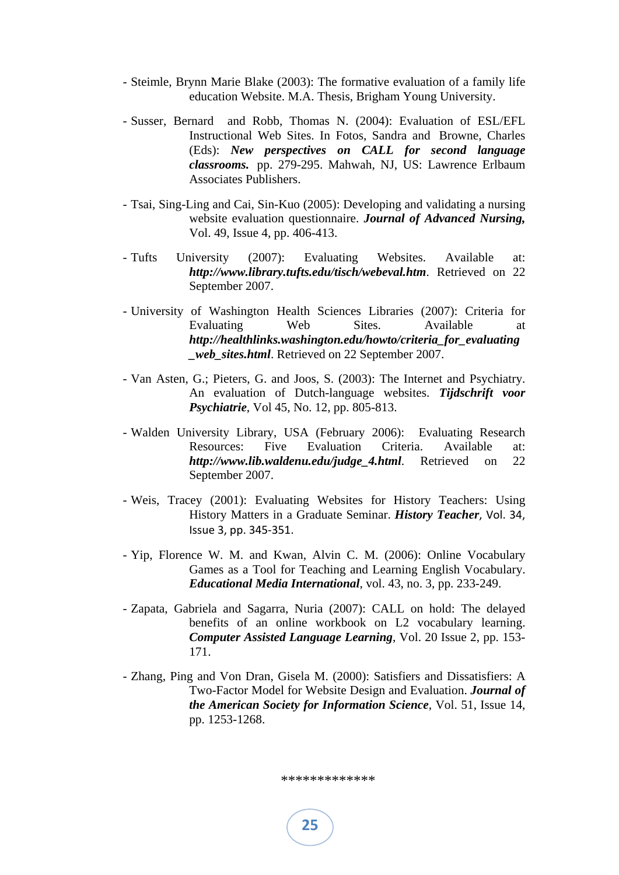- Steimle, Brynn Marie Blake (2003): The formative evaluation of a family life education Website. M.A. Thesis, Brigham Young University.
- Susser, Bernard and Robb, Thomas N. (2004): Evaluation of ESL/EFL Instructional Web Sites. In Fotos, Sandra and Browne, Charles (Eds): *New perspectives on CALL for second language classrooms.* pp. 279-295. Mahwah, NJ, US: Lawrence Erlbaum Associates Publishers.
- Tsai, Sing-Ling and Cai, Sin-Kuo (2005): Developing and validating a nursing website evaluation questionnaire. *Journal of Advanced Nursing,* Vol. 49, Issue 4, pp. 406-413.
- Tufts University (2007): Evaluating Websites. Available at: *http://www.library.tufts.edu/tisch/webeval.htm*. Retrieved on 22 September 2007.
- University of Washington Health Sciences Libraries (2007): Criteria for Evaluating Web Sites. Available at *http://healthlinks.washington.edu/howto/criteria\_for\_evaluating \_web\_sites.html*. Retrieved on 22 September 2007.
- Van Asten, G.; Pieters, G. and Joos, S. (2003): The Internet and Psychiatry. An evaluation of Dutch-language websites. *Tijdschrift voor Psychiatrie*, Vol 45, No. 12, pp. 805-813.
- Walden University Library, USA (February 2006): Evaluating Research Resources: Five Evaluation Criteria. Available at: *http://www.lib.waldenu.edu/judge\_4.html*. Retrieved on 22 September 2007.
- Weis, Tracey (2001): Evaluating Websites for History Teachers: Using History Matters in a Graduate Seminar. *History Teacher*, Vol. 34, Issue 3, pp. 345‐351.
- Yip, Florence W. M. and Kwan, Alvin C. M. (2006): Online Vocabulary Games as a Tool for Teaching and Learning English Vocabulary. *Educational Media International*, vol. 43, no. 3, pp. 233-249.
- Zapata, Gabriela and Sagarra, Nuria (2007): CALL on hold: The delayed benefits of an online workbook on L2 vocabulary learning. *Computer Assisted Language Learning*, Vol. 20 Issue 2, pp. 153- 171.
- Zhang, Ping and Von Dran, Gisela M. (2000): Satisfiers and Dissatisfiers: A Two-Factor Model for Website Design and Evaluation. *Journal of the American Society for Information Science*, Vol. 51, Issue 14, pp. 1253-1268.

\*\*\*\*\*\*\*\*\*\*\*\*\*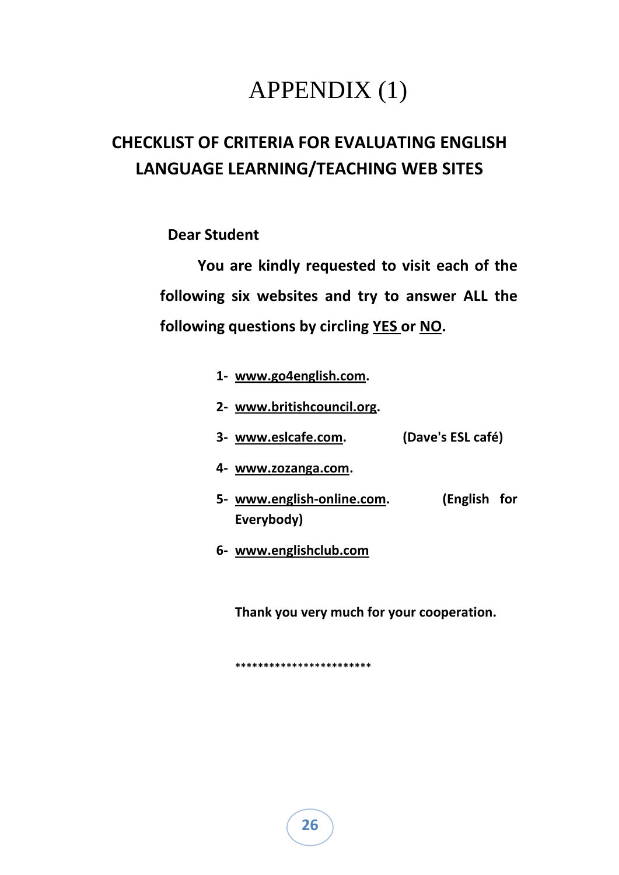## APPENDIX (1)

## **CHECKLIST OF CRITERIA FOR EVALUATING ENGLISH LANGUAGE LEARNING/TEACHING WEB SITES**

 **Dear Student**

 **You are kindly requested to visit each of the following six websites and try to answer ALL the following questions by circling YES or NO.** 

- **1‐ www.go4english.com.**
- **2‐ www.britishcouncil.org.**
- **3‐ www.eslcafe.com. (Dave's ESL café)**
- **4‐ www.zozanga.com.**
- **5‐ www.english‐online.com. (English for Everybody)**
- **6‐ www.englishclub.com**

**Thank you very much for your cooperation.**

**\*\*\*\*\*\*\*\*\*\*\*\*\*\*\*\*\*\*\*\*\*\*\*\***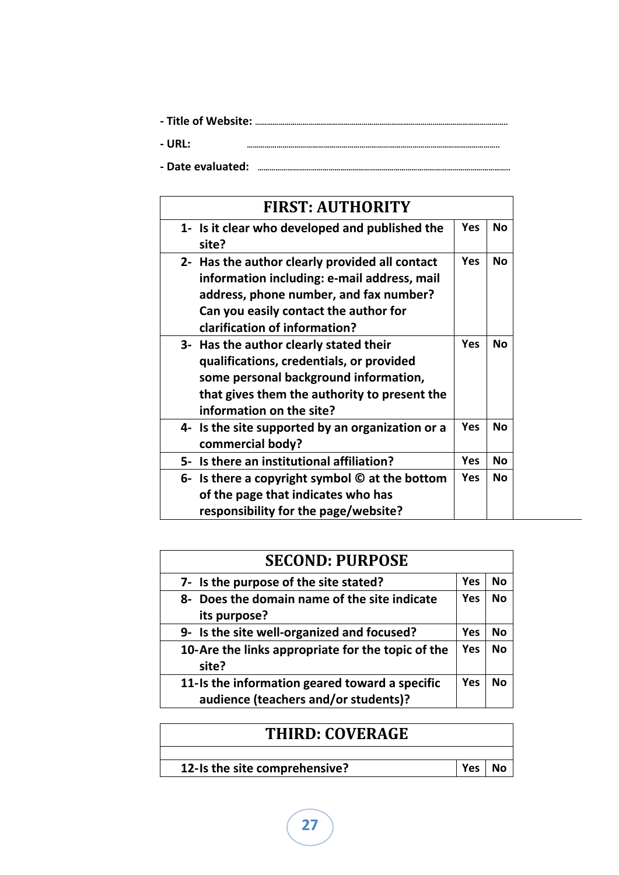| - URL:            |  |
|-------------------|--|
| - Date evaluated: |  |

|    | <b>FIRST: AUTHORITY</b>                                                                                                                                                                                           |            |           |
|----|-------------------------------------------------------------------------------------------------------------------------------------------------------------------------------------------------------------------|------------|-----------|
|    | 1- Is it clear who developed and published the<br>site?                                                                                                                                                           | Yes        | No        |
|    | 2- Has the author clearly provided all contact<br>information including: e-mail address, mail<br>address, phone number, and fax number?<br>Can you easily contact the author for<br>clarification of information? | <b>Yes</b> | <b>No</b> |
|    | 3- Has the author clearly stated their<br>qualifications, credentials, or provided<br>some personal background information,<br>that gives them the authority to present the<br>information on the site?           | Yes        | Nο        |
|    | 4- Is the site supported by an organization or a<br>commercial body?                                                                                                                                              | Yes        | Nο        |
| 5- | Is there an institutional affiliation?                                                                                                                                                                            | Yes        | <b>No</b> |
| 6- | Is there a copyright symbol $\odot$ at the bottom<br>of the page that indicates who has<br>responsibility for the page/website?                                                                                   | Yes        | Nο        |

| <b>SECOND: PURPOSE</b>                                                                 |     |           |
|----------------------------------------------------------------------------------------|-----|-----------|
| 7- Is the purpose of the site stated?                                                  | Yes | Nο        |
| 8- Does the domain name of the site indicate<br>its purpose?                           | Yes | <b>No</b> |
| 9- Is the site well-organized and focused?                                             | Yes | No        |
| 10-Are the links appropriate for the topic of the<br>site?                             | Yes | <b>No</b> |
| 11-Is the information geared toward a specific<br>audience (teachers and/or students)? | Yes | N٥        |

| <b>THIRD: COVERAGE</b>        |     |  |
|-------------------------------|-----|--|
|                               |     |  |
| 12-Is the site comprehensive? | Yes |  |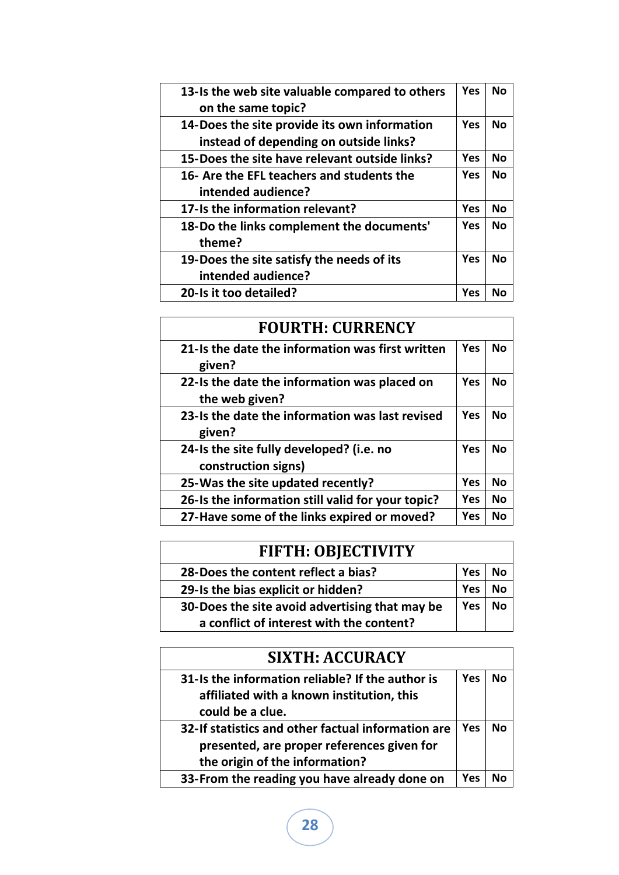| 13-Is the web site valuable compared to others | Yes        | <b>No</b> |
|------------------------------------------------|------------|-----------|
| on the same topic?                             |            |           |
| 14-Does the site provide its own information   | <b>Yes</b> | Nο        |
| instead of depending on outside links?         |            |           |
| 15-Does the site have relevant outside links?  | <b>Yes</b> | No        |
| 16- Are the EFL teachers and students the      | Yes        | <b>No</b> |
| intended audience?                             |            |           |
| 17-Is the information relevant?                | Yes        | No        |
| 18-Do the links complement the documents'      | <b>Yes</b> | <b>No</b> |
| theme?                                         |            |           |
| 19-Does the site satisfy the needs of its      | <b>Yes</b> | Νo        |
| intended audience?                             |            |           |
| 20-Is it too detailed?                         | Yes        | Nο        |

| <b>FOURTH: CURRENCY</b>                                         |     |           |
|-----------------------------------------------------------------|-----|-----------|
| 21-Is the date the information was first written<br>given?      | Yes | <b>No</b> |
| 22-Is the date the information was placed on<br>the web given?  | Yes | Νo        |
| 23-Is the date the information was last revised<br>given?       | Yes | <b>No</b> |
| 24-Is the site fully developed? (i.e. no<br>construction signs) | Yes | Νo        |
| 25-Was the site updated recently?                               | Yes | No        |
| 26-Is the information still valid for your topic?               | Yes | No        |
| 27-Have some of the links expired or moved?                     | Yes | Nο        |

| <b>FIFTH: OBJECTIVITY</b>                      |     |    |
|------------------------------------------------|-----|----|
| 28-Does the content reflect a bias?            | Yes | N٥ |
| 29-Is the bias explicit or hidden?             | Yes | N٥ |
| 30-Does the site avoid advertising that may be | Yes | N٥ |
| a conflict of interest with the content?       |     |    |

| <b>SIXTH: ACCURACY</b>                             |            |    |
|----------------------------------------------------|------------|----|
| 31-Is the information reliable? If the author is   | <b>Yes</b> | N٥ |
| affiliated with a known institution, this          |            |    |
| could be a clue.                                   |            |    |
| 32-If statistics and other factual information are | Yes        | Nο |
| presented, are proper references given for         |            |    |
| the origin of the information?                     |            |    |
| 33-From the reading you have already done on       | Yes        |    |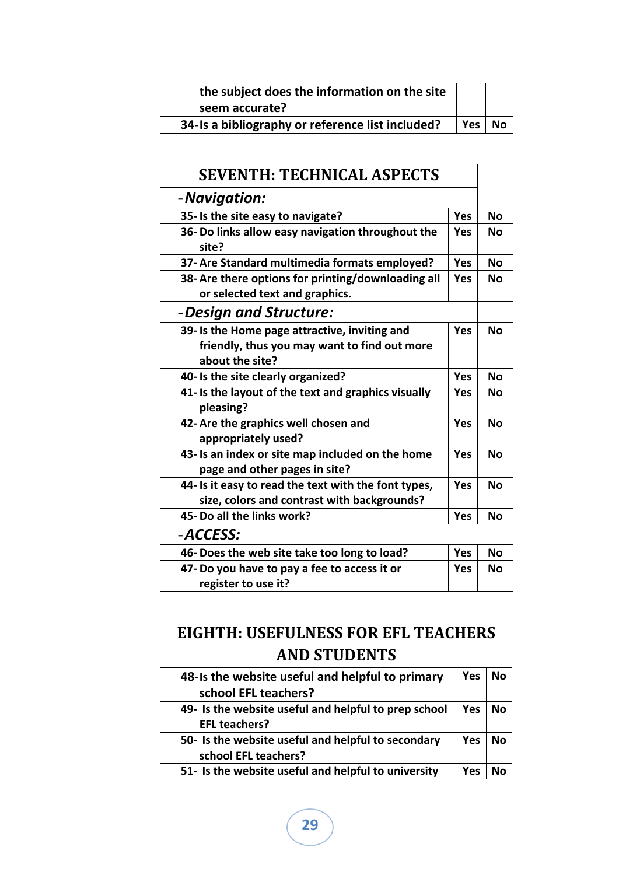| the subject does the information on the site     |     |    |
|--------------------------------------------------|-----|----|
| seem accurate?                                   |     |    |
| 34-Is a bibliography or reference list included? | Yes | No |

| <b>SEVENTH: TECHNICAL ASPECTS</b>                                                                                |            |           |
|------------------------------------------------------------------------------------------------------------------|------------|-----------|
| - Navigation:                                                                                                    |            |           |
| 35- Is the site easy to navigate?                                                                                | Yes        | <b>No</b> |
| 36- Do links allow easy navigation throughout the<br>site?                                                       | Yes        | <b>No</b> |
| 37- Are Standard multimedia formats employed?                                                                    | Yes        | <b>No</b> |
| 38- Are there options for printing/downloading all<br>or selected text and graphics.                             | Yes        | <b>No</b> |
| - Design and Structure:                                                                                          |            |           |
| 39- Is the Home page attractive, inviting and<br>friendly, thus you may want to find out more<br>about the site? | <b>Yes</b> | No        |
| 40- Is the site clearly organized?                                                                               | Yes        | Nο        |
| 41- Is the layout of the text and graphics visually<br>pleasing?                                                 | Yes        | <b>No</b> |
| 42- Are the graphics well chosen and<br>appropriately used?                                                      | Yes        | Nο        |
| 43- Is an index or site map included on the home<br>page and other pages in site?                                | Yes        | Nο        |
| 44- Is it easy to read the text with the font types,<br>size, colors and contrast with backgrounds?              | Yes        | Nο        |
| 45- Do all the links work?                                                                                       | Yes        | <b>No</b> |
| -ACCESS:                                                                                                         |            |           |
| 46- Does the web site take too long to load?                                                                     | Yes        | <b>No</b> |
| 47- Do you have to pay a fee to access it or<br>register to use it?                                              | <b>Yes</b> | Νo        |
|                                                                                                                  |            |           |

| <b>EIGHTH: USEFULNESS FOR EFL TEACHERS</b>           |     |    |
|------------------------------------------------------|-----|----|
| <b>AND STUDENTS</b>                                  |     |    |
| 48-Is the website useful and helpful to primary      | Yes | Nο |
| school EFL teachers?                                 |     |    |
| 49- Is the website useful and helpful to prep school | Yes | Nο |
| <b>EFL teachers?</b>                                 |     |    |
| 50- Is the website useful and helpful to secondary   | Yes | Nο |
| school EFL teachers?                                 |     |    |
| 51- Is the website useful and helpful to university  | Yes |    |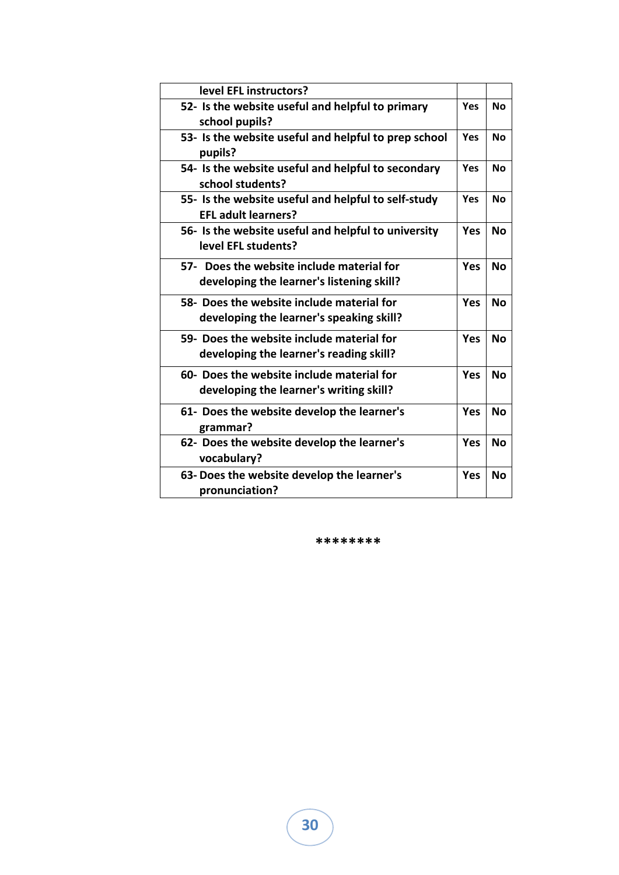| level EFL instructors?                                                                 |            |           |
|----------------------------------------------------------------------------------------|------------|-----------|
| 52- Is the website useful and helpful to primary<br>school pupils?                     | Yes        | Nο        |
| 53- Is the website useful and helpful to prep school<br>pupils?                        | Yes        | <b>No</b> |
| 54- Is the website useful and helpful to secondary<br>school students?                 | Yes        | <b>No</b> |
| 55- Is the website useful and helpful to self-study<br><b>EFL adult learners?</b>      | <b>Yes</b> | <b>No</b> |
| 56- Is the website useful and helpful to university<br>level EFL students?             | Yes        | <b>No</b> |
| 57- Does the website include material for<br>developing the learner's listening skill? | Yes        | Nο        |
| 58- Does the website include material for<br>developing the learner's speaking skill?  | Yes        | <b>No</b> |
| 59- Does the website include material for<br>developing the learner's reading skill?   | Yes        | <b>No</b> |
| 60- Does the website include material for<br>developing the learner's writing skill?   | Yes        | <b>No</b> |
| 61- Does the website develop the learner's<br>grammar?                                 | Yes        | <b>No</b> |
| 62- Does the website develop the learner's<br>vocabulary?                              | Yes        | <b>No</b> |
| 63- Does the website develop the learner's<br>pronunciation?                           | Yes        | <b>No</b> |

**\*\*\*\*\*\*\*\***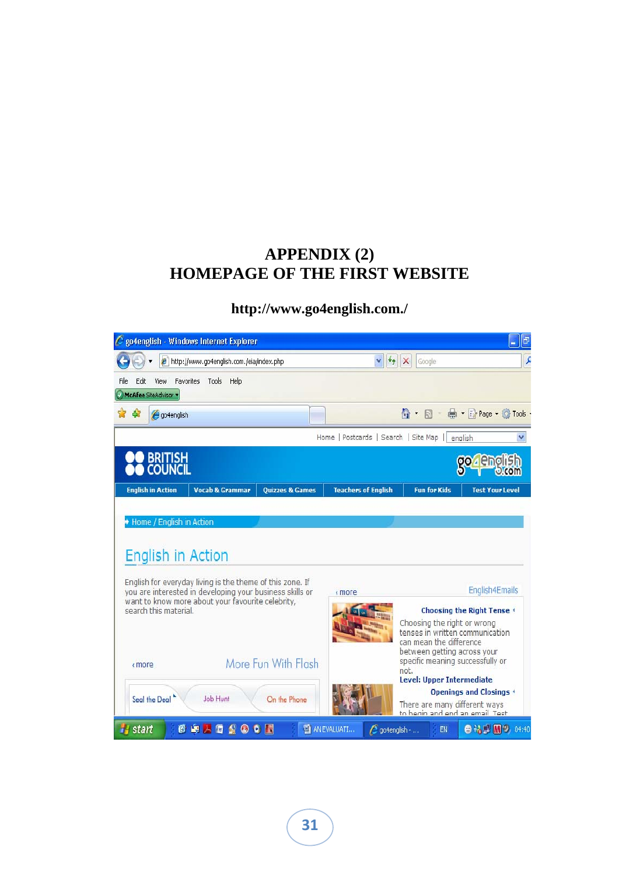## **APPENDIX (2) HOMEPAGE OF THE FIRST WEBSITE**

### **http://www.go4english.com./**

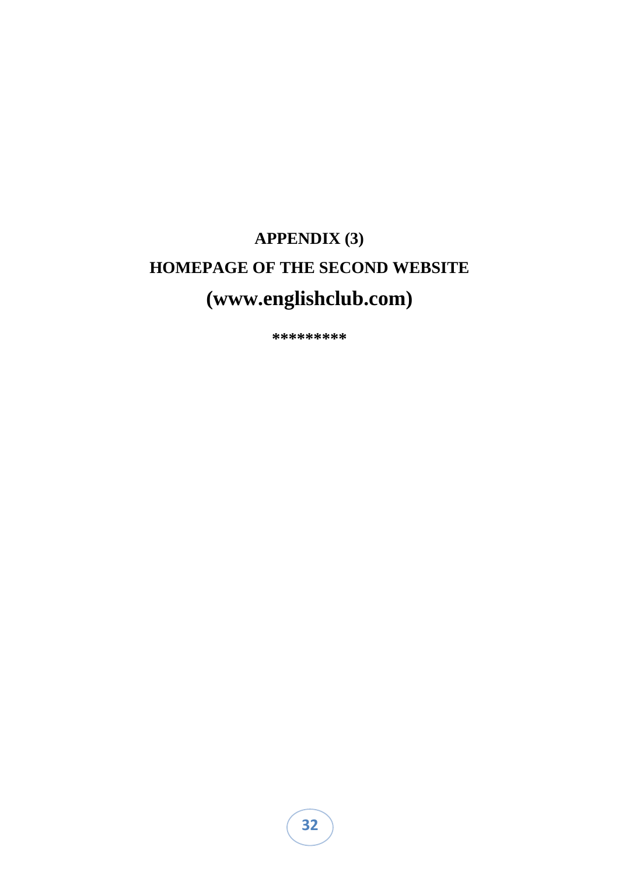## **APPENDIX (3) HOMEPAGE OF THE SECOND WEBSITE (www.englishclub.com)**

**\*\*\*\*\*\*\*\*\***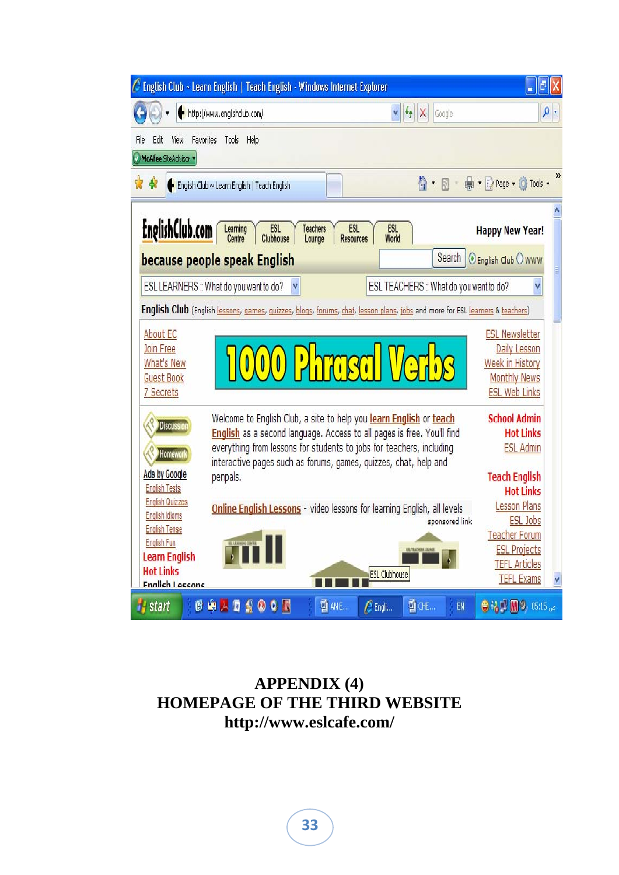

## **APPENDIX (4) HOMEPAGE OF THE THIRD WEBSITE http://www.eslcafe.com/**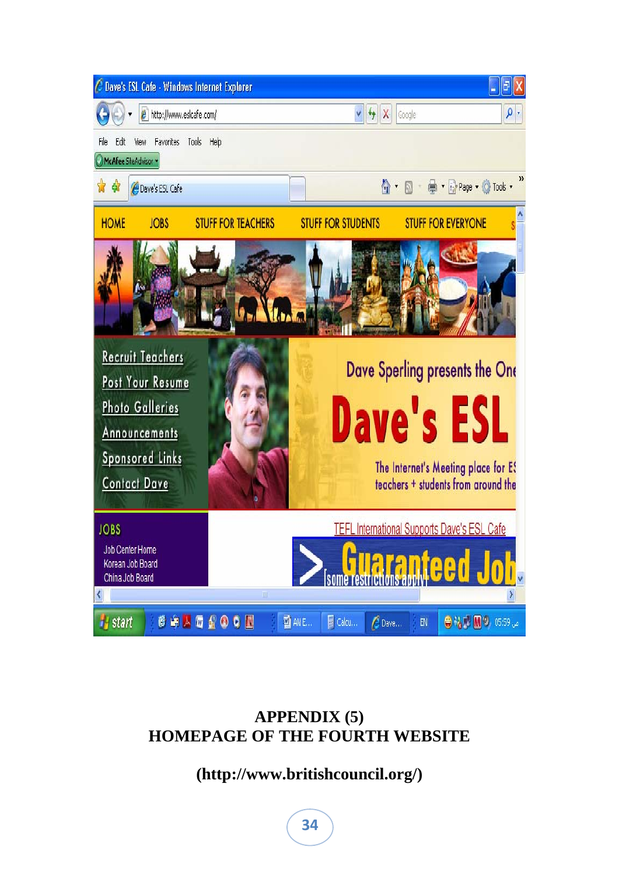

## **APPENDIX (5) HOMEPAGE OF THE FOURTH WEBSITE**

## **(http://www.britishcouncil.org/)**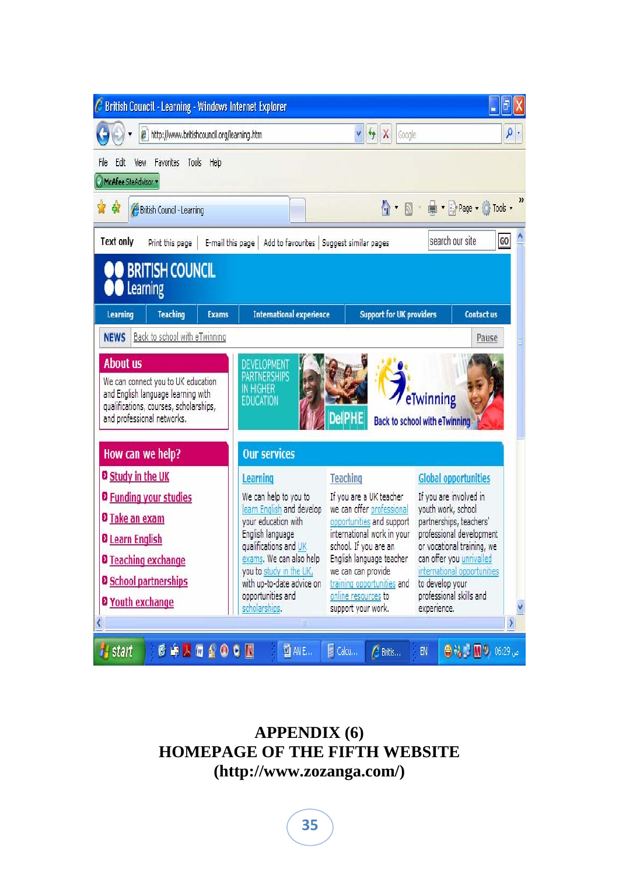| <b>British Council - Learning - Windows Internet Explorer</b>                                                                                                       |                                                                                                                                                                              |                                                                                                                                                                                            |                                                                                                                                                                                              |          |
|---------------------------------------------------------------------------------------------------------------------------------------------------------------------|------------------------------------------------------------------------------------------------------------------------------------------------------------------------------|--------------------------------------------------------------------------------------------------------------------------------------------------------------------------------------------|----------------------------------------------------------------------------------------------------------------------------------------------------------------------------------------------|----------|
| http://www.britishcouncil.org/learning.htm<br>$\theta$                                                                                                              |                                                                                                                                                                              | $\downarrow$<br>$\times$<br>V<br>Google                                                                                                                                                    |                                                                                                                                                                                              | $\rho$ . |
| File<br>Favorites<br>Tools<br>Help<br>Edit<br>View<br>McAfee SiteAdvisor                                                                                            |                                                                                                                                                                              |                                                                                                                                                                                            |                                                                                                                                                                                              |          |
| ₩<br>British Council - Learning                                                                                                                                     |                                                                                                                                                                              |                                                                                                                                                                                            | 个·同·鼎·沙Page · O Tools ·                                                                                                                                                                      |          |
| <b>Text only</b><br>Print this page<br>E-mail this page                                                                                                             | Add to favourites   Suggest similar pages                                                                                                                                    |                                                                                                                                                                                            | search our site                                                                                                                                                                              | GO       |
| <b>BRITISH COUNCIL</b><br>Learning                                                                                                                                  |                                                                                                                                                                              |                                                                                                                                                                                            |                                                                                                                                                                                              |          |
| <b>Teaching</b><br>Learning<br><b>Exams</b>                                                                                                                         | <b>International experience</b>                                                                                                                                              | <b>Support for UK providers</b>                                                                                                                                                            | <b>Contact us</b>                                                                                                                                                                            |          |
| Back to school with eTwinning<br><b>NEWS</b>                                                                                                                        |                                                                                                                                                                              |                                                                                                                                                                                            | Pause                                                                                                                                                                                        |          |
| <b>About us</b><br>We can connect you to UK education<br>and English language learning with<br>qualifications, courses, scholarships,<br>and professional networks. | <b>DEVELOPMENT</b><br><b>PARTNERSHIPS</b><br>IN HIGHER<br><b>EDUCATION</b>                                                                                                   |                                                                                                                                                                                            | eTwinning<br><b>Back to school with eTwinning</b>                                                                                                                                            |          |
| How can we help?                                                                                                                                                    | <b>Our services</b>                                                                                                                                                          |                                                                                                                                                                                            |                                                                                                                                                                                              |          |
| <b>D</b> Study in the UK                                                                                                                                            | Learning                                                                                                                                                                     | <b>Teaching</b>                                                                                                                                                                            | <b>Global opportunities</b>                                                                                                                                                                  |          |
| <b>D</b> Funding your studies<br><b>8</b> Take an exam<br><b>D</b> Learn English<br><b>D</b> Teaching exchange                                                      | We can help to you to<br>learn English and develop<br>your education with<br>English language<br>qualifications and UK<br>exams. We can also help<br>you to study in the UK, | If you are a UK teacher<br>we can offer professional<br>opportunities and support<br>international work in your<br>school. If you are an<br>English language teacher<br>we can can provide | If you are involved in<br>youth work, school<br>partnerships, teachers'<br>professional development<br>or vocational training, we<br>can offer you unrivalled<br>international opportunities |          |
| <b>D</b> School partnerships                                                                                                                                        | with up-to-date advice on                                                                                                                                                    | training opportunities and                                                                                                                                                                 | to develop your                                                                                                                                                                              |          |
| <b>8 Youth exchange</b>                                                                                                                                             | opportunities and<br>scholarships.                                                                                                                                           | online resources to<br>support your work.                                                                                                                                                  | professional skills and<br>experience.                                                                                                                                                       |          |
|                                                                                                                                                                     | Ш                                                                                                                                                                            |                                                                                                                                                                                            |                                                                                                                                                                                              | ١        |
| <b>COMAGAOON</b><br>start                                                                                                                                           | 图 AN E                                                                                                                                                                       | Calcu<br><b>C</b> Britis                                                                                                                                                                   | ● 2 周9,06:29 。<br>${\sf EN}$                                                                                                                                                                 |          |

## **APPENDIX (6) HOMEPAGE OF THE FIFTH WEBSITE (http://www.zozanga.com/)**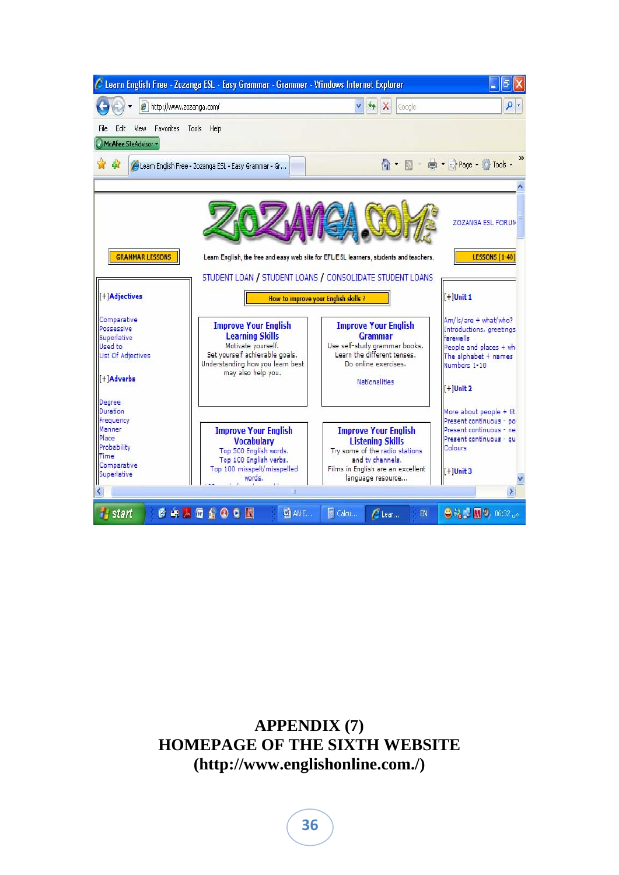|                                                                                                         | http://www.zozanga.com/                                                                                                                                                 | $+$<br>Google                                                                                                                                                          | $\rho$ .                                                                                                                            |
|---------------------------------------------------------------------------------------------------------|-------------------------------------------------------------------------------------------------------------------------------------------------------------------------|------------------------------------------------------------------------------------------------------------------------------------------------------------------------|-------------------------------------------------------------------------------------------------------------------------------------|
| Favorites<br>File<br>Fdit<br>View                                                                       | Tools<br>Help                                                                                                                                                           |                                                                                                                                                                        |                                                                                                                                     |
| McAfee SiteAdvisor *                                                                                    |                                                                                                                                                                         |                                                                                                                                                                        |                                                                                                                                     |
| $\mathbf{d}$                                                                                            | Learn English Free - Zozanga ESL - Easy Grammar - Gr                                                                                                                    |                                                                                                                                                                        | Tools .                                                                                                                             |
|                                                                                                         |                                                                                                                                                                         |                                                                                                                                                                        |                                                                                                                                     |
| <b>GRAMMAR LESSONS</b>                                                                                  |                                                                                                                                                                         | Learn English, the free and easy web site for EFL/ESL learners, students and teachers.<br>STUDENT LOAN / STUDENT LOANS / CONSOLIDATE STUDENT LOANS                     | <b>ZOZANGA ESL FORUM</b><br><b>LESSONS [1-40]</b>                                                                                   |
| [+]Adjectives                                                                                           |                                                                                                                                                                         | How to improve your English skills?                                                                                                                                    | $I+1$ Unit 1                                                                                                                        |
| Comparative<br>Possessive<br>Superlative<br>Used to<br><b>List Of Adjectives</b><br>[+]Adverbs          | <b>Improve Your English</b><br><b>Learning Skills</b><br>Motivate yourself.<br>Set yourself achievable goals.<br>Understanding how you learn best<br>may also help you. | <b>Improve Your English</b><br><b>Grammar</b><br>Use self-study grammar books.<br>Learn the different tenses.<br>Do online exercises.<br><b>Nationalities</b>          | Am/is/are + what/who?<br>Introductions, greetings<br>farewells<br>People and places + wh<br>The alphabet + names<br>Numbers 1-10    |
|                                                                                                         |                                                                                                                                                                         |                                                                                                                                                                        | $[+]$ Unit 2                                                                                                                        |
| Degree<br>Duration<br>Frequency<br>Manner<br>Place<br>Probability<br>Time<br>Comparative<br>Superlative | <b>Improve Your English</b><br><b>Vocabulary</b><br>Top 500 English words.<br>Top 100 English verbs.<br>Top 100 misspelt/misspelled<br>words.                           | <b>Improve Your English</b><br><b>Listening Skills</b><br>Try some of the radio stations<br>and ty channels.<br>Films in English are an excellent<br>language resource | More about people + tit<br>Present continuous - po<br>Present continuous - ne<br>Present continuous - gu<br>Colours<br>$[+]$ Unit 3 |

## **APPENDIX (7) HOMEPAGE OF THE SIXTH WEBSITE (http://www.englishonline.com./)**